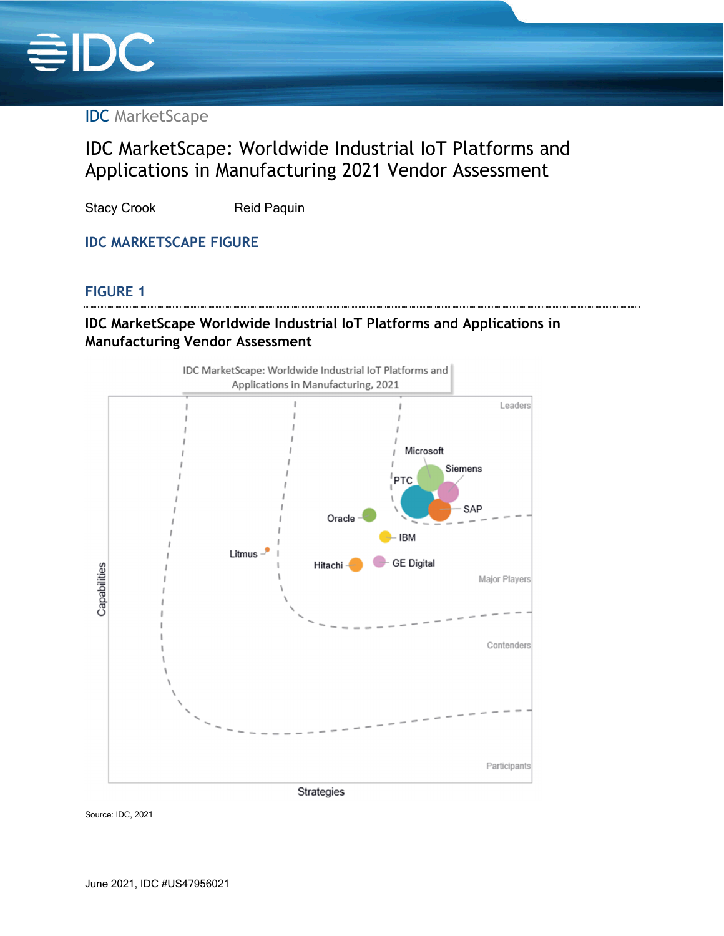

IDC MarketScape

## IDC MarketScape: Worldwide Industrial IoT Platforms and Applications in Manufacturing 2021 Vendor Assessment

Stacy Crook Reid Paquin

## **IDC MARKETSCAPE FIGURE**

#### **FIGURE 1**

## **IDC MarketScape Worldwide Industrial IoT Platforms and Applications in Manufacturing Vendor Assessment**



Source: IDC, 2021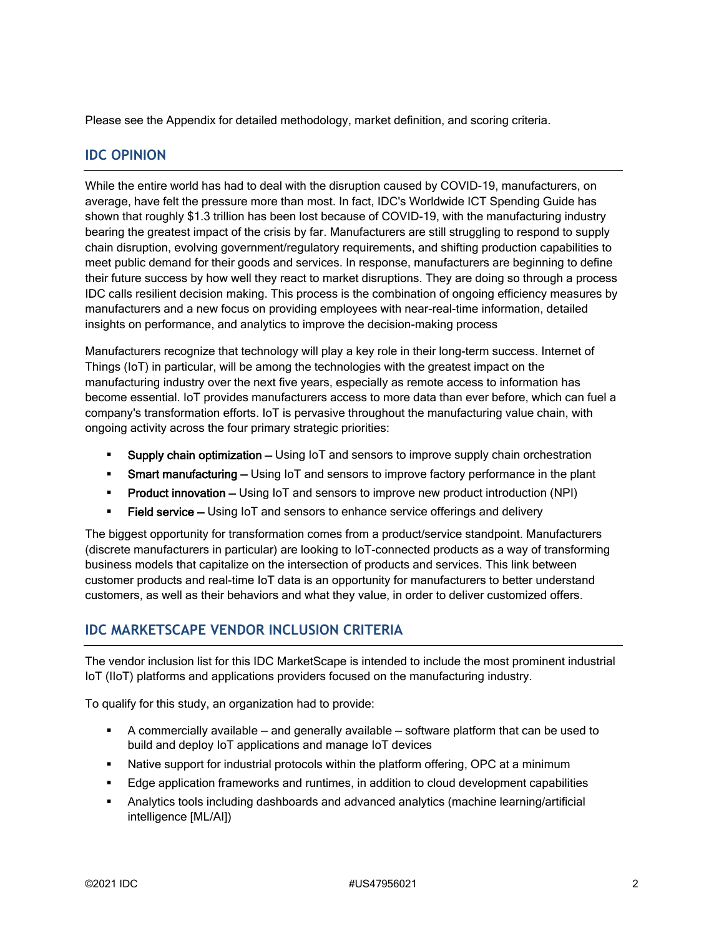Please see the Appendix for detailed methodology, market definition, and scoring criteria.

#### **IDC OPINION**

While the entire world has had to deal with the disruption caused by COVID-19, manufacturers, on average, have felt the pressure more than most. In fact, IDC's Worldwide ICT Spending Guide has shown that roughly \$1.3 trillion has been lost because of COVID-19, with the manufacturing industry bearing the greatest impact of the crisis by far. Manufacturers are still struggling to respond to supply chain disruption, evolving government/regulatory requirements, and shifting production capabilities to meet public demand for their goods and services. In response, manufacturers are beginning to define their future success by how well they react to market disruptions. They are doing so through a process IDC calls resilient decision making. This process is the combination of ongoing efficiency measures by manufacturers and a new focus on providing employees with near-real-time information, detailed insights on performance, and analytics to improve the decision-making process

Manufacturers recognize that technology will play a key role in their long-term success. Internet of Things (IoT) in particular, will be among the technologies with the greatest impact on the manufacturing industry over the next five years, especially as remote access to information has become essential. IoT provides manufacturers access to more data than ever before, which can fuel a company's transformation efforts. IoT is pervasive throughout the manufacturing value chain, with ongoing activity across the four primary strategic priorities:

- Supply chain optimization Using IoT and sensors to improve supply chain orchestration
- **Smart manufacturing –** Using IoT and sensors to improve factory performance in the plant
- **Product innovation –** Using IoT and sensors to improve new product introduction (NPI)
- **Field service** Using IoT and sensors to enhance service offerings and delivery

The biggest opportunity for transformation comes from a product/service standpoint. Manufacturers (discrete manufacturers in particular) are looking to IoT-connected products as a way of transforming business models that capitalize on the intersection of products and services. This link between customer products and real-time IoT data is an opportunity for manufacturers to better understand customers, as well as their behaviors and what they value, in order to deliver customized offers.

## **IDC MARKETSCAPE VENDOR INCLUSION CRITERIA**

The vendor inclusion list for this IDC MarketScape is intended to include the most prominent industrial IoT (IIoT) platforms and applications providers focused on the manufacturing industry.

To qualify for this study, an organization had to provide:

- A commercially available and generally available software platform that can be used to build and deploy IoT applications and manage IoT devices
- Native support for industrial protocols within the platform offering, OPC at a minimum
- **Edge application frameworks and runtimes, in addition to cloud development capabilities**
- Analytics tools including dashboards and advanced analytics (machine learning/artificial intelligence [ML/AI])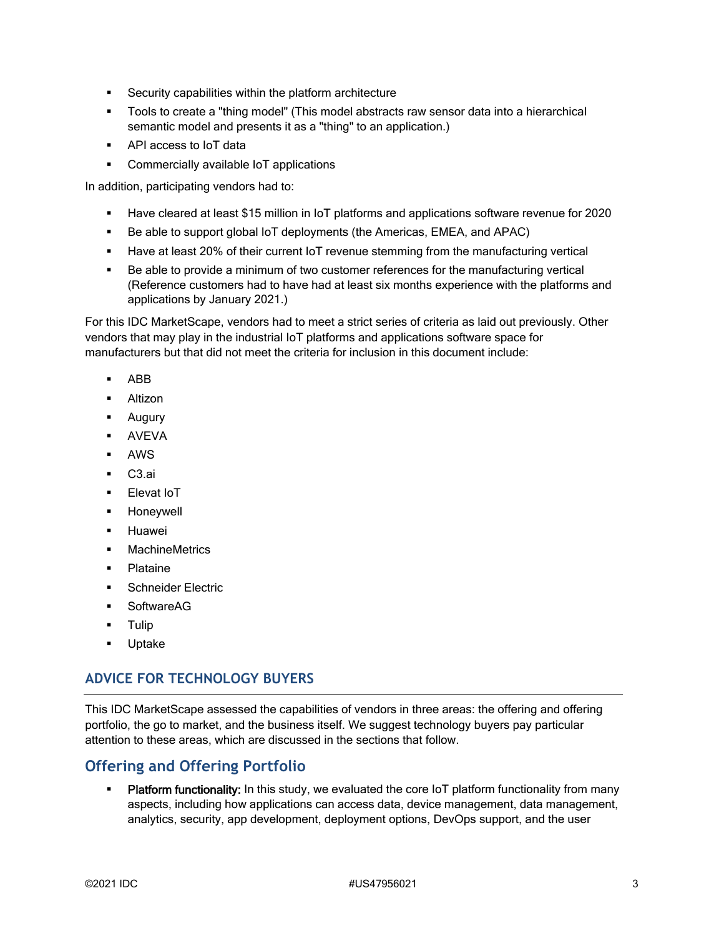- **Security capabilities within the platform architecture**
- Tools to create a "thing model" (This model abstracts raw sensor data into a hierarchical semantic model and presents it as a "thing" to an application.)
- **API access to IoT data**
- **•** Commercially available IoT applications

In addition, participating vendors had to:

- Have cleared at least \$15 million in IoT platforms and applications software revenue for 2020
- Be able to support global IoT deployments (the Americas, EMEA, and APAC)
- Have at least 20% of their current IoT revenue stemming from the manufacturing vertical
- Be able to provide a minimum of two customer references for the manufacturing vertical (Reference customers had to have had at least six months experience with the platforms and applications by January 2021.)

For this IDC MarketScape, vendors had to meet a strict series of criteria as laid out previously. Other vendors that may play in the industrial IoT platforms and applications software space for manufacturers but that did not meet the criteria for inclusion in this document include:

- ABB
- **Altizon**
- **-** Augury
- AVEVA
- AWS
- C3.ai
- **Elevat IoT**
- **-** Honeywell
- **-** Huawei
- **MachineMetrics**
- Plataine
- Schneider Electric
- **SoftwareAG**
- **-** Tulip
- **Uptake**

#### **ADVICE FOR TECHNOLOGY BUYERS**

This IDC MarketScape assessed the capabilities of vendors in three areas: the offering and offering portfolio, the go to market, and the business itself. We suggest technology buyers pay particular attention to these areas, which are discussed in the sections that follow.

#### **Offering and Offering Portfolio**

Platform functionality: In this study, we evaluated the core IoT platform functionality from many aspects, including how applications can access data, device management, data management, analytics, security, app development, deployment options, DevOps support, and the user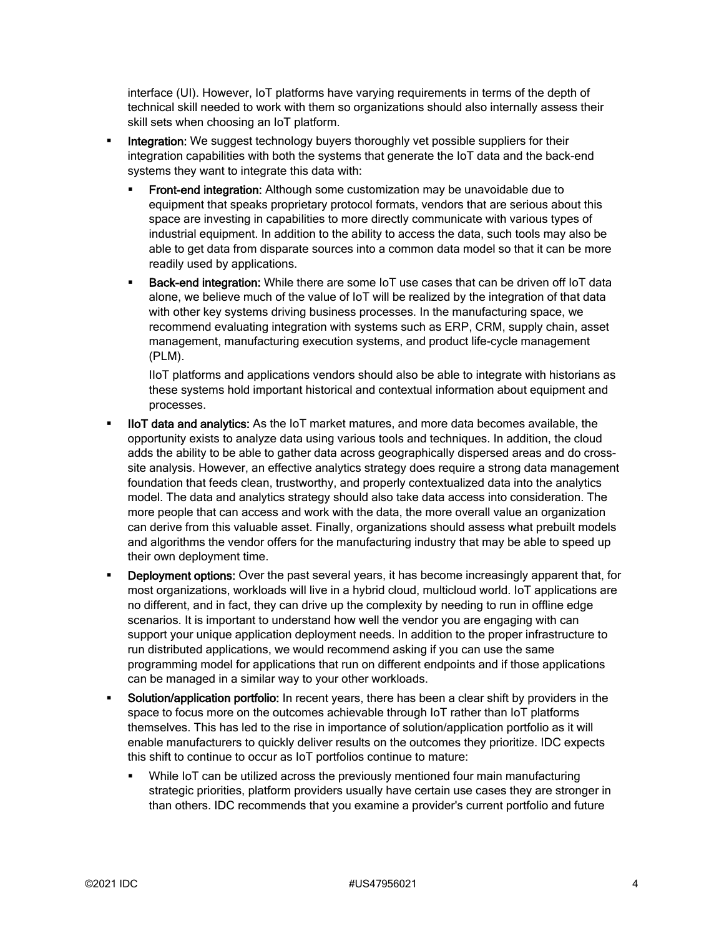interface (UI). However, IoT platforms have varying requirements in terms of the depth of technical skill needed to work with them so organizations should also internally assess their skill sets when choosing an IoT platform.

- Integration: We suggest technology buyers thoroughly vet possible suppliers for their integration capabilities with both the systems that generate the IoT data and the back-end systems they want to integrate this data with:
	- Front-end integration: Although some customization may be unavoidable due to equipment that speaks proprietary protocol formats, vendors that are serious about this space are investing in capabilities to more directly communicate with various types of industrial equipment. In addition to the ability to access the data, such tools may also be able to get data from disparate sources into a common data model so that it can be more readily used by applications.
	- **Back-end integration:** While there are some IoT use cases that can be driven off IoT data alone, we believe much of the value of IoT will be realized by the integration of that data with other key systems driving business processes. In the manufacturing space, we recommend evaluating integration with systems such as ERP, CRM, supply chain, asset management, manufacturing execution systems, and product life-cycle management (PLM).

IIoT platforms and applications vendors should also be able to integrate with historians as these systems hold important historical and contextual information about equipment and processes.

- IIoT data and analytics: As the IoT market matures, and more data becomes available, the opportunity exists to analyze data using various tools and techniques. In addition, the cloud adds the ability to be able to gather data across geographically dispersed areas and do crosssite analysis. However, an effective analytics strategy does require a strong data management foundation that feeds clean, trustworthy, and properly contextualized data into the analytics model. The data and analytics strategy should also take data access into consideration. The more people that can access and work with the data, the more overall value an organization can derive from this valuable asset. Finally, organizations should assess what prebuilt models and algorithms the vendor offers for the manufacturing industry that may be able to speed up their own deployment time.
- Deployment options: Over the past several years, it has become increasingly apparent that, for most organizations, workloads will live in a hybrid cloud, multicloud world. IoT applications are no different, and in fact, they can drive up the complexity by needing to run in offline edge scenarios. It is important to understand how well the vendor you are engaging with can support your unique application deployment needs. In addition to the proper infrastructure to run distributed applications, we would recommend asking if you can use the same programming model for applications that run on different endpoints and if those applications can be managed in a similar way to your other workloads.
- Solution/application portfolio: In recent years, there has been a clear shift by providers in the space to focus more on the outcomes achievable through IoT rather than IoT platforms themselves. This has led to the rise in importance of solution/application portfolio as it will enable manufacturers to quickly deliver results on the outcomes they prioritize. IDC expects this shift to continue to occur as IoT portfolios continue to mature:
	- While IoT can be utilized across the previously mentioned four main manufacturing strategic priorities, platform providers usually have certain use cases they are stronger in than others. IDC recommends that you examine a provider's current portfolio and future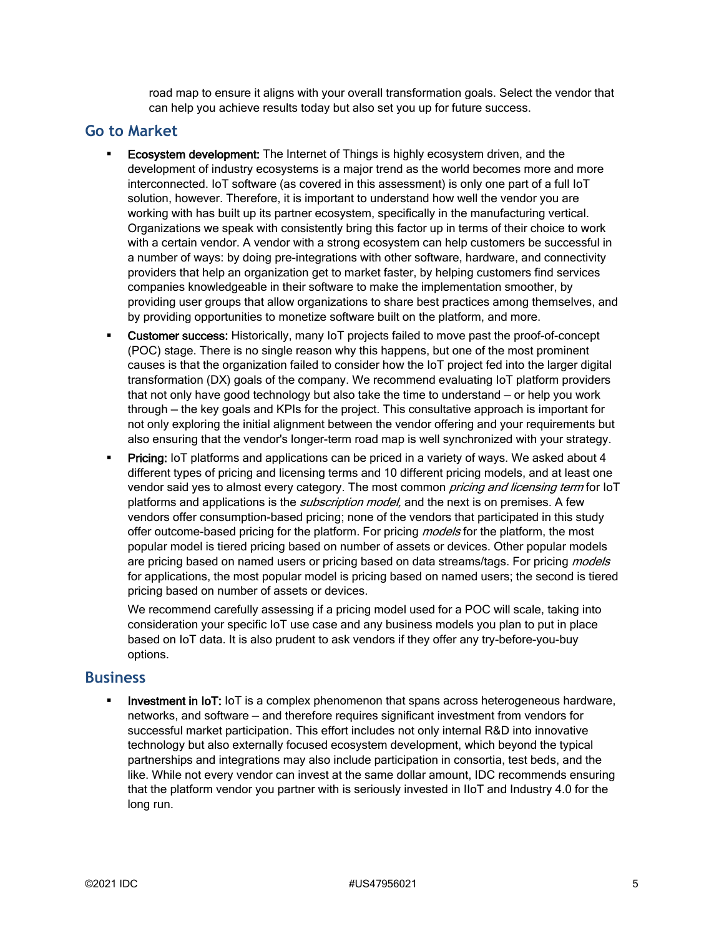road map to ensure it aligns with your overall transformation goals. Select the vendor that can help you achieve results today but also set you up for future success.

#### **Go to Market**

- Ecosystem development: The Internet of Things is highly ecosystem driven, and the development of industry ecosystems is a major trend as the world becomes more and more interconnected. IoT software (as covered in this assessment) is only one part of a full IoT solution, however. Therefore, it is important to understand how well the vendor you are working with has built up its partner ecosystem, specifically in the manufacturing vertical. Organizations we speak with consistently bring this factor up in terms of their choice to work with a certain vendor. A vendor with a strong ecosystem can help customers be successful in a number of ways: by doing pre-integrations with other software, hardware, and connectivity providers that help an organization get to market faster, by helping customers find services companies knowledgeable in their software to make the implementation smoother, by providing user groups that allow organizations to share best practices among themselves, and by providing opportunities to monetize software built on the platform, and more.
- **Customer success:** Historically, many IoT projects failed to move past the proof-of-concept (POC) stage. There is no single reason why this happens, but one of the most prominent causes is that the organization failed to consider how the IoT project fed into the larger digital transformation (DX) goals of the company. We recommend evaluating IoT platform providers that not only have good technology but also take the time to understand — or help you work through — the key goals and KPIs for the project. This consultative approach is important for not only exploring the initial alignment between the vendor offering and your requirements but also ensuring that the vendor's longer-term road map is well synchronized with your strategy.
- **Pricing:** IoT platforms and applications can be priced in a variety of ways. We asked about 4 different types of pricing and licensing terms and 10 different pricing models, and at least one vendor said yes to almost every category. The most common *pricing and licensing term* for IoT platforms and applications is the *subscription model*, and the next is on premises. A few vendors offer consumption-based pricing; none of the vendors that participated in this study offer outcome-based pricing for the platform. For pricing *models* for the platform, the most popular model is tiered pricing based on number of assets or devices. Other popular models are pricing based on named users or pricing based on data streams/tags. For pricing *models* for applications, the most popular model is pricing based on named users; the second is tiered pricing based on number of assets or devices.

We recommend carefully assessing if a pricing model used for a POC will scale, taking into consideration your specific IoT use case and any business models you plan to put in place based on IoT data. It is also prudent to ask vendors if they offer any try-before-you-buy options.

#### **Business**

 Investment in IoT: IoT is a complex phenomenon that spans across heterogeneous hardware, networks, and software — and therefore requires significant investment from vendors for successful market participation. This effort includes not only internal R&D into innovative technology but also externally focused ecosystem development, which beyond the typical partnerships and integrations may also include participation in consortia, test beds, and the like. While not every vendor can invest at the same dollar amount, IDC recommends ensuring that the platform vendor you partner with is seriously invested in IIoT and Industry 4.0 for the long run.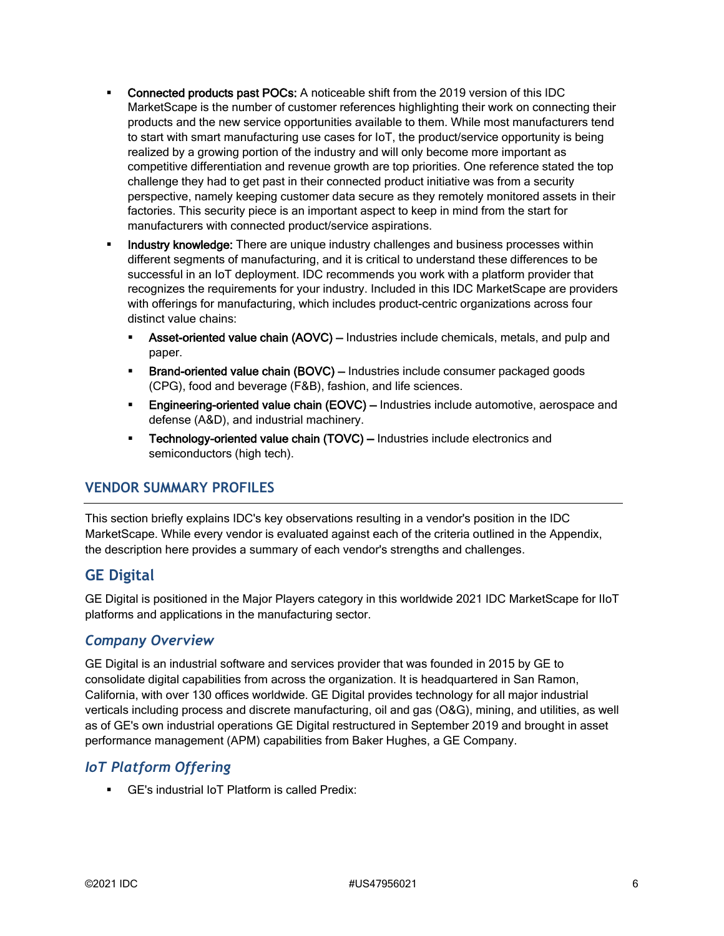- Connected products past POCs: A noticeable shift from the 2019 version of this IDC MarketScape is the number of customer references highlighting their work on connecting their products and the new service opportunities available to them. While most manufacturers tend to start with smart manufacturing use cases for IoT, the product/service opportunity is being realized by a growing portion of the industry and will only become more important as competitive differentiation and revenue growth are top priorities. One reference stated the top challenge they had to get past in their connected product initiative was from a security perspective, namely keeping customer data secure as they remotely monitored assets in their factories. This security piece is an important aspect to keep in mind from the start for manufacturers with connected product/service aspirations.
- **Industry knowledge:** There are unique industry challenges and business processes within different segments of manufacturing, and it is critical to understand these differences to be successful in an IoT deployment. IDC recommends you work with a platform provider that recognizes the requirements for your industry. Included in this IDC MarketScape are providers with offerings for manufacturing, which includes product-centric organizations across four distinct value chains:
	- Asset-oriented value chain (AOVC) Industries include chemicals, metals, and pulp and paper.
	- **Brand-oriented value chain (BOVC)** Industries include consumer packaged goods (CPG), food and beverage (F&B), fashion, and life sciences.
	- **Engineering-oriented value chain (EOVC) Industries include automotive, aerospace and** defense (A&D), and industrial machinery.
	- **Technology-oriented value chain (TOVC)** Industries include electronics and semiconductors (high tech).

#### **VENDOR SUMMARY PROFILES**

This section briefly explains IDC's key observations resulting in a vendor's position in the IDC MarketScape. While every vendor is evaluated against each of the criteria outlined in the Appendix, the description here provides a summary of each vendor's strengths and challenges.

## **GE Digital**

GE Digital is positioned in the Major Players category in this worldwide 2021 IDC MarketScape for IIoT platforms and applications in the manufacturing sector.

#### *Company Overview*

GE Digital is an industrial software and services provider that was founded in 2015 by GE to consolidate digital capabilities from across the organization. It is headquartered in San Ramon, California, with over 130 offices worldwide. GE Digital provides technology for all major industrial verticals including process and discrete manufacturing, oil and gas (O&G), mining, and utilities, as well as of GE's own industrial operations GE Digital restructured in September 2019 and brought in asset performance management (APM) capabilities from Baker Hughes, a GE Company.

#### *IoT Platform Offering*

GE's industrial IoT Platform is called Predix: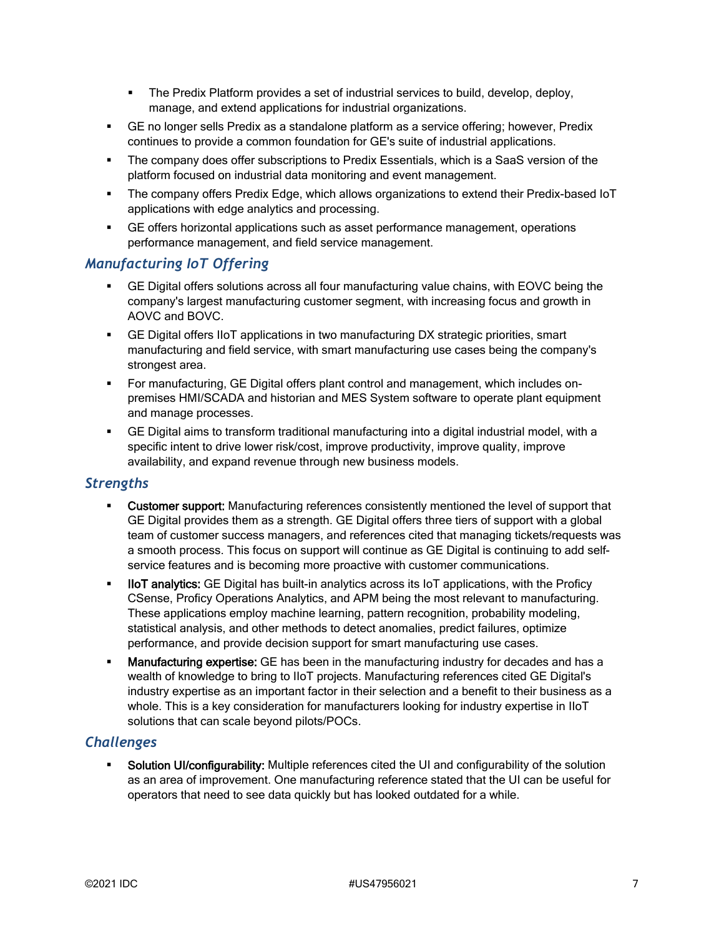- The Predix Platform provides a set of industrial services to build, develop, deploy, manage, and extend applications for industrial organizations.
- GE no longer sells Predix as a standalone platform as a service offering; however, Predix continues to provide a common foundation for GE's suite of industrial applications.
- The company does offer subscriptions to Predix Essentials, which is a SaaS version of the platform focused on industrial data monitoring and event management.
- The company offers Predix Edge, which allows organizations to extend their Predix-based IoT applications with edge analytics and processing.
- GE offers horizontal applications such as asset performance management, operations performance management, and field service management.

#### *Manufacturing IoT Offering*

- GE Digital offers solutions across all four manufacturing value chains, with EOVC being the company's largest manufacturing customer segment, with increasing focus and growth in AOVC and BOVC.
- GE Digital offers IIoT applications in two manufacturing DX strategic priorities, smart manufacturing and field service, with smart manufacturing use cases being the company's strongest area.
- For manufacturing, GE Digital offers plant control and management, which includes onpremises HMI/SCADA and historian and MES System software to operate plant equipment and manage processes.
- GE Digital aims to transform traditional manufacturing into a digital industrial model, with a specific intent to drive lower risk/cost, improve productivity, improve quality, improve availability, and expand revenue through new business models.

#### *Strengths*

- Customer support: Manufacturing references consistently mentioned the level of support that GE Digital provides them as a strength. GE Digital offers three tiers of support with a global team of customer success managers, and references cited that managing tickets/requests was a smooth process. This focus on support will continue as GE Digital is continuing to add selfservice features and is becoming more proactive with customer communications.
- **IIoT analytics:** GE Digital has built-in analytics across its IoT applications, with the Proficy CSense, Proficy Operations Analytics, and APM being the most relevant to manufacturing. These applications employ machine learning, pattern recognition, probability modeling, statistical analysis, and other methods to detect anomalies, predict failures, optimize performance, and provide decision support for smart manufacturing use cases.
- Manufacturing expertise: GE has been in the manufacturing industry for decades and has a wealth of knowledge to bring to IIoT projects. Manufacturing references cited GE Digital's industry expertise as an important factor in their selection and a benefit to their business as a whole. This is a key consideration for manufacturers looking for industry expertise in IIoT solutions that can scale beyond pilots/POCs.

#### *Challenges*

Solution UI/configurability: Multiple references cited the UI and configurability of the solution as an area of improvement. One manufacturing reference stated that the UI can be useful for operators that need to see data quickly but has looked outdated for a while.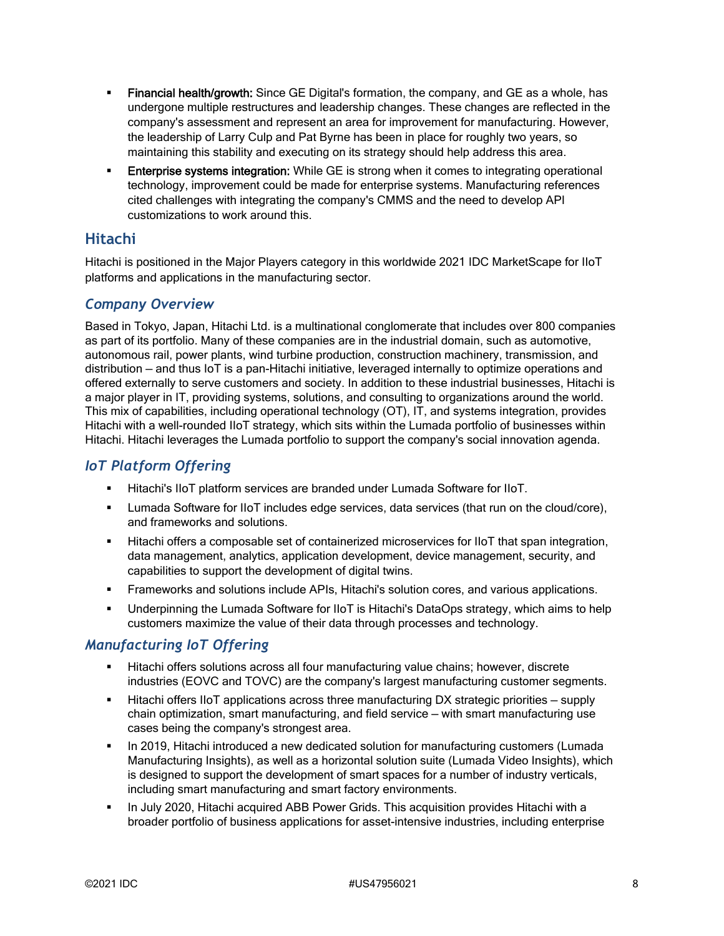- Financial health/growth: Since GE Digital's formation, the company, and GE as a whole, has undergone multiple restructures and leadership changes. These changes are reflected in the company's assessment and represent an area for improvement for manufacturing. However, the leadership of Larry Culp and Pat Byrne has been in place for roughly two years, so maintaining this stability and executing on its strategy should help address this area.
- **Enterprise systems integration:** While GE is strong when it comes to integrating operational technology, improvement could be made for enterprise systems. Manufacturing references cited challenges with integrating the company's CMMS and the need to develop API customizations to work around this.

## **Hitachi**

Hitachi is positioned in the Major Players category in this worldwide 2021 IDC MarketScape for IIoT platforms and applications in the manufacturing sector.

#### *Company Overview*

Based in Tokyo, Japan, Hitachi Ltd. is a multinational conglomerate that includes over 800 companies as part of its portfolio. Many of these companies are in the industrial domain, such as automotive, autonomous rail, power plants, wind turbine production, construction machinery, transmission, and distribution — and thus IoT is a pan-Hitachi initiative, leveraged internally to optimize operations and offered externally to serve customers and society. In addition to these industrial businesses, Hitachi is a major player in IT, providing systems, solutions, and consulting to organizations around the world. This mix of capabilities, including operational technology (OT), IT, and systems integration, provides Hitachi with a well-rounded IIoT strategy, which sits within the Lumada portfolio of businesses within Hitachi. Hitachi leverages the Lumada portfolio to support the company's social innovation agenda.

#### *IoT Platform Offering*

- Hitachi's IIoT platform services are branded under Lumada Software for IIoT.
- **Lumada Software for IIoT includes edge services, data services (that run on the cloud/core),** and frameworks and solutions.
- Hitachi offers a composable set of containerized microservices for IIoT that span integration, data management, analytics, application development, device management, security, and capabilities to support the development of digital twins.
- Frameworks and solutions include APIs, Hitachi's solution cores, and various applications.
- Underpinning the Lumada Software for IIoT is Hitachi's DataOps strategy, which aims to help customers maximize the value of their data through processes and technology.

#### *Manufacturing IoT Offering*

- Hitachi offers solutions across all four manufacturing value chains; however, discrete industries (EOVC and TOVC) are the company's largest manufacturing customer segments.
- **Hitachi offers IIoT applications across three manufacturing DX strategic priorities supply** chain optimization, smart manufacturing, and field service — with smart manufacturing use cases being the company's strongest area.
- In 2019, Hitachi introduced a new dedicated solution for manufacturing customers (Lumada Manufacturing Insights), as well as a horizontal solution suite (Lumada Video Insights), which is designed to support the development of smart spaces for a number of industry verticals, including smart manufacturing and smart factory environments.
- In July 2020, Hitachi acquired ABB Power Grids. This acquisition provides Hitachi with a broader portfolio of business applications for asset-intensive industries, including enterprise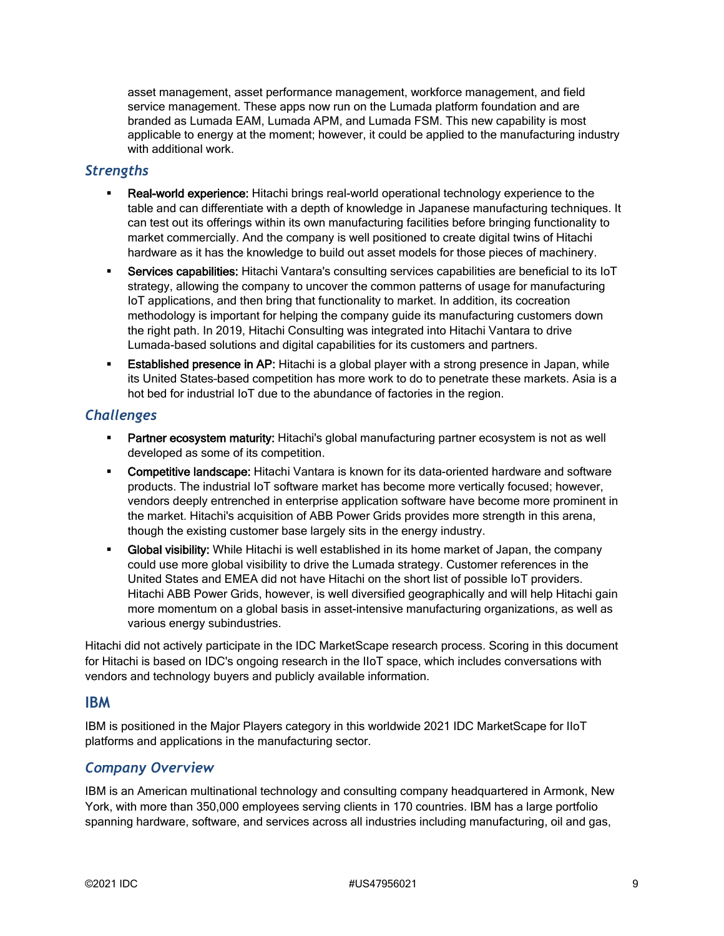asset management, asset performance management, workforce management, and field service management. These apps now run on the Lumada platform foundation and are branded as Lumada EAM, Lumada APM, and Lumada FSM. This new capability is most applicable to energy at the moment; however, it could be applied to the manufacturing industry with additional work.

#### *Strengths*

- Real-world experience: Hitachi brings real-world operational technology experience to the table and can differentiate with a depth of knowledge in Japanese manufacturing techniques. It can test out its offerings within its own manufacturing facilities before bringing functionality to market commercially. And the company is well positioned to create digital twins of Hitachi hardware as it has the knowledge to build out asset models for those pieces of machinery.
- Services capabilities: Hitachi Vantara's consulting services capabilities are beneficial to its IoT strategy, allowing the company to uncover the common patterns of usage for manufacturing IoT applications, and then bring that functionality to market. In addition, its cocreation methodology is important for helping the company guide its manufacturing customers down the right path. In 2019, Hitachi Consulting was integrated into Hitachi Vantara to drive Lumada-based solutions and digital capabilities for its customers and partners.
- **Established presence in AP:** Hitachi is a global player with a strong presence in Japan, while its United States–based competition has more work to do to penetrate these markets. Asia is a hot bed for industrial IoT due to the abundance of factories in the region.

#### *Challenges*

- **Partner ecosystem maturity:** Hitachi's global manufacturing partner ecosystem is not as well developed as some of its competition.
- **Competitive landscape:** Hitachi Vantara is known for its data-oriented hardware and software products. The industrial IoT software market has become more vertically focused; however, vendors deeply entrenched in enterprise application software have become more prominent in the market. Hitachi's acquisition of ABB Power Grids provides more strength in this arena, though the existing customer base largely sits in the energy industry.
- **Global visibility:** While Hitachi is well established in its home market of Japan, the company could use more global visibility to drive the Lumada strategy. Customer references in the United States and EMEA did not have Hitachi on the short list of possible IoT providers. Hitachi ABB Power Grids, however, is well diversified geographically and will help Hitachi gain more momentum on a global basis in asset-intensive manufacturing organizations, as well as various energy subindustries.

Hitachi did not actively participate in the IDC MarketScape research process. Scoring in this document for Hitachi is based on IDC's ongoing research in the IIoT space, which includes conversations with vendors and technology buyers and publicly available information.

#### **IBM**

IBM is positioned in the Major Players category in this worldwide 2021 IDC MarketScape for IIoT platforms and applications in the manufacturing sector.

#### *Company Overview*

IBM is an American multinational technology and consulting company headquartered in Armonk, New York, with more than 350,000 employees serving clients in 170 countries. IBM has a large portfolio spanning hardware, software, and services across all industries including manufacturing, oil and gas,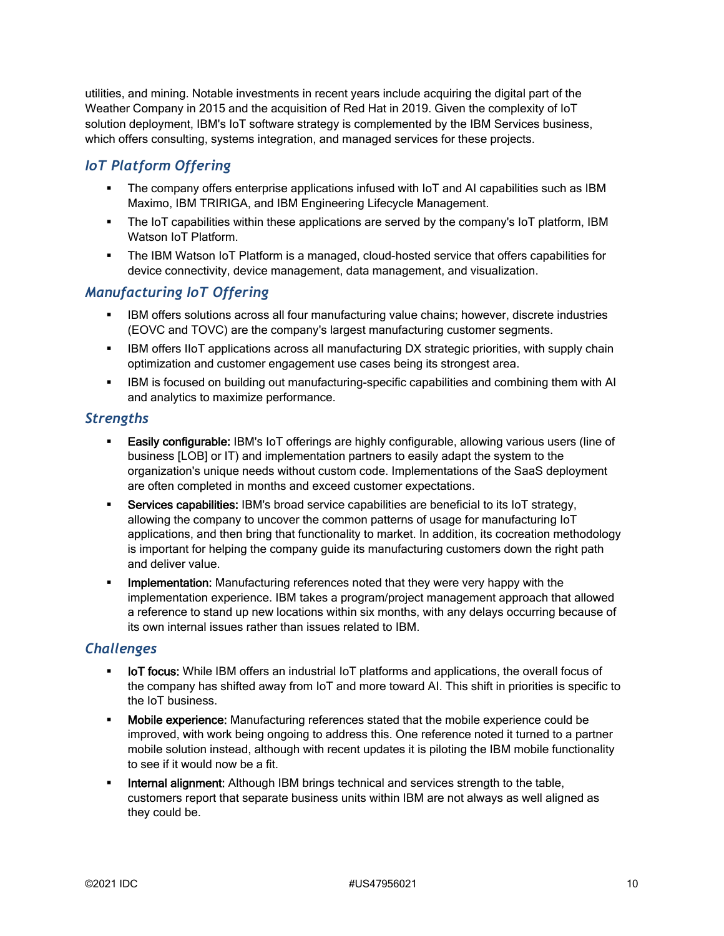utilities, and mining. Notable investments in recent years include acquiring the digital part of the Weather Company in 2015 and the acquisition of Red Hat in 2019. Given the complexity of IoT solution deployment, IBM's IoT software strategy is complemented by the IBM Services business, which offers consulting, systems integration, and managed services for these projects.

## *IoT Platform Offering*

- The company offers enterprise applications infused with IoT and AI capabilities such as IBM Maximo, IBM TRIRIGA, and IBM Engineering Lifecycle Management.
- The IoT capabilities within these applications are served by the company's IoT platform, IBM Watson IoT Platform.
- The IBM Watson IoT Platform is a managed, cloud-hosted service that offers capabilities for device connectivity, device management, data management, and visualization.

#### *Manufacturing IoT Offering*

- IBM offers solutions across all four manufacturing value chains; however, discrete industries (EOVC and TOVC) are the company's largest manufacturing customer segments.
- **IBM offers IIoT applications across all manufacturing DX strategic priorities, with supply chain** optimization and customer engagement use cases being its strongest area.
- IBM is focused on building out manufacturing-specific capabilities and combining them with AI and analytics to maximize performance.

#### *Strengths*

- **Easily configurable: IBM's IoT offerings are highly configurable, allowing various users (line of** business [LOB] or IT) and implementation partners to easily adapt the system to the organization's unique needs without custom code. Implementations of the SaaS deployment are often completed in months and exceed customer expectations.
- **Services capabilities:** IBM's broad service capabilities are beneficial to its IoT strategy, allowing the company to uncover the common patterns of usage for manufacturing IoT applications, and then bring that functionality to market. In addition, its cocreation methodology is important for helping the company guide its manufacturing customers down the right path and deliver value.
- **Implementation:** Manufacturing references noted that they were very happy with the implementation experience. IBM takes a program/project management approach that allowed a reference to stand up new locations within six months, with any delays occurring because of its own internal issues rather than issues related to IBM.

#### *Challenges*

- IoT focus: While IBM offers an industrial IoT platforms and applications, the overall focus of the company has shifted away from IoT and more toward AI. This shift in priorities is specific to the IoT business.
- **Mobile experience:** Manufacturing references stated that the mobile experience could be improved, with work being ongoing to address this. One reference noted it turned to a partner mobile solution instead, although with recent updates it is piloting the IBM mobile functionality to see if it would now be a fit.
- **Internal alignment:** Although IBM brings technical and services strength to the table, customers report that separate business units within IBM are not always as well aligned as they could be.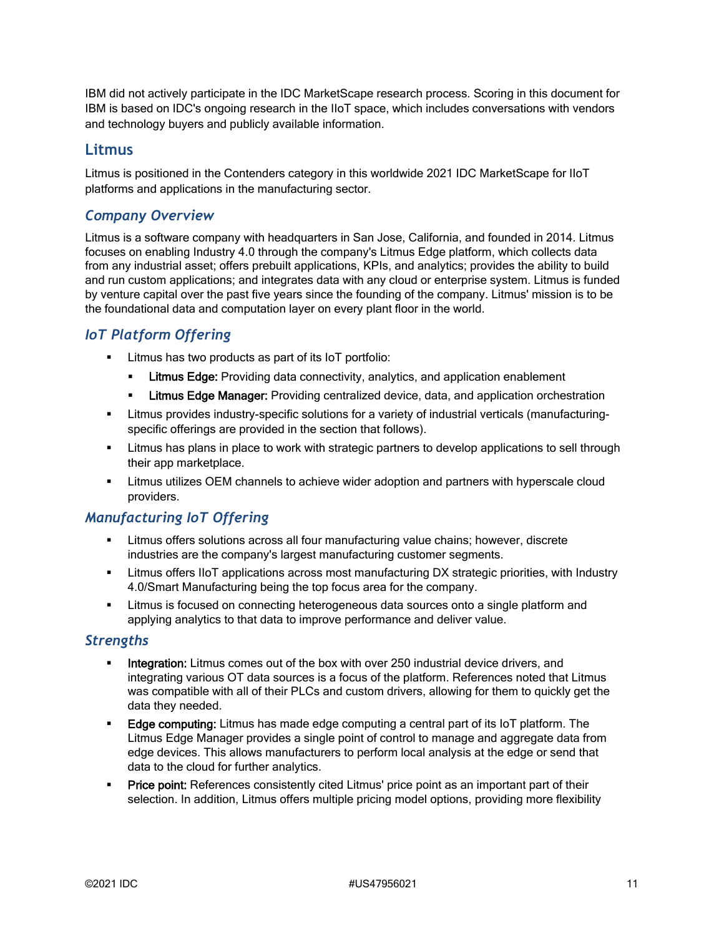IBM did not actively participate in the IDC MarketScape research process. Scoring in this document for IBM is based on IDC's ongoing research in the IIoT space, which includes conversations with vendors and technology buyers and publicly available information.

#### **Litmus**

Litmus is positioned in the Contenders category in this worldwide 2021 IDC MarketScape for IIoT platforms and applications in the manufacturing sector.

#### *Company Overview*

Litmus is a software company with headquarters in San Jose, California, and founded in 2014. Litmus focuses on enabling Industry 4.0 through the company's Litmus Edge platform, which collects data from any industrial asset; offers prebuilt applications, KPIs, and analytics; provides the ability to build and run custom applications; and integrates data with any cloud or enterprise system. Litmus is funded by venture capital over the past five years since the founding of the company. Litmus' mission is to be the foundational data and computation layer on every plant floor in the world.

## *IoT Platform Offering*

- **EXECUTE:** Litmus has two products as part of its IoT portfolio:
	- **ELitmus Edge:** Providing data connectivity, analytics, and application enablement
	- **ELITUME Edge Manager:** Providing centralized device, data, and application orchestration
- Litmus provides industry-specific solutions for a variety of industrial verticals (manufacturingspecific offerings are provided in the section that follows).
- **EXED 1** Litmus has plans in place to work with strategic partners to develop applications to sell through their app marketplace.
- Litmus utilizes OEM channels to achieve wider adoption and partners with hyperscale cloud providers.

## *Manufacturing IoT Offering*

- Litmus offers solutions across all four manufacturing value chains; however, discrete industries are the company's largest manufacturing customer segments.
- Litmus offers IIoT applications across most manufacturing DX strategic priorities, with Industry 4.0/Smart Manufacturing being the top focus area for the company.
- Litmus is focused on connecting heterogeneous data sources onto a single platform and applying analytics to that data to improve performance and deliver value.

#### *Strengths*

- **Integration:** Litmus comes out of the box with over 250 industrial device drivers, and integrating various OT data sources is a focus of the platform. References noted that Litmus was compatible with all of their PLCs and custom drivers, allowing for them to quickly get the data they needed.
- **Edge computing:** Litmus has made edge computing a central part of its IoT platform. The Litmus Edge Manager provides a single point of control to manage and aggregate data from edge devices. This allows manufacturers to perform local analysis at the edge or send that data to the cloud for further analytics.
- **Price point:** References consistently cited Litmus' price point as an important part of their selection. In addition, Litmus offers multiple pricing model options, providing more flexibility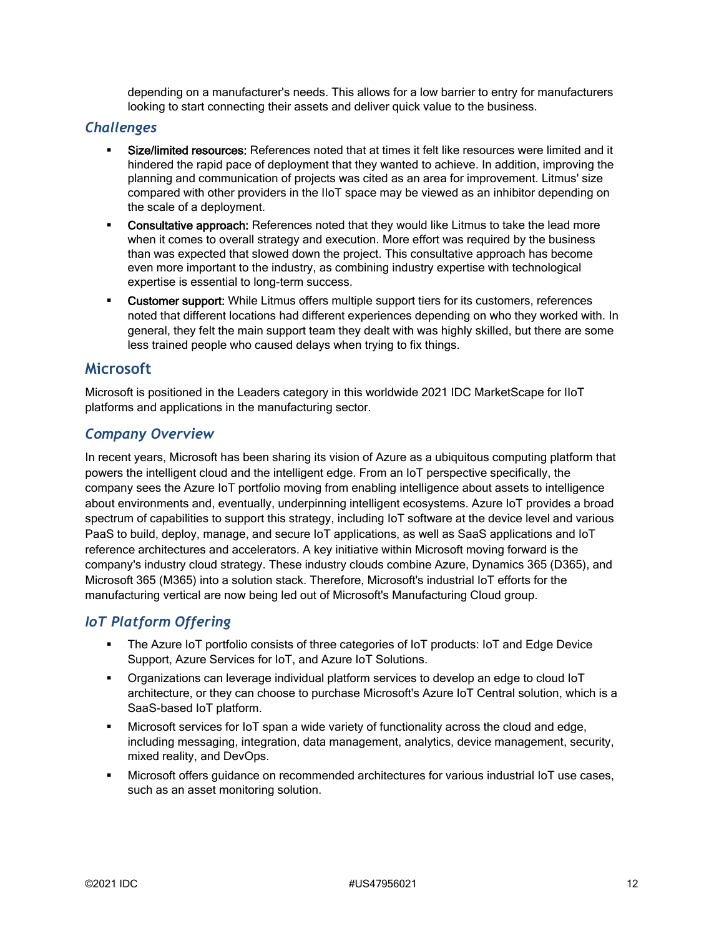depending on a manufacturer's needs. This allows for a low barrier to entry for manufacturers looking to start connecting their assets and deliver quick value to the business.

#### *Challenges*

- Size/limited resources: References noted that at times it felt like resources were limited and it hindered the rapid pace of deployment that they wanted to achieve. In addition, improving the planning and communication of projects was cited as an area for improvement. Litmus' size compared with other providers in the IIoT space may be viewed as an inhibitor depending on the scale of a deployment.
- Consultative approach: References noted that they would like Litmus to take the lead more when it comes to overall strategy and execution. More effort was required by the business than was expected that slowed down the project. This consultative approach has become even more important to the industry, as combining industry expertise with technological expertise is essential to long-term success.
- **EXECUST CUST CONTER SUPPORT:** While Litmus offers multiple support tiers for its customers, references noted that different locations had different experiences depending on who they worked with. In general, they felt the main support team they dealt with was highly skilled, but there are some less trained people who caused delays when trying to fix things.

#### **Microsoft**

Microsoft is positioned in the Leaders category in this worldwide 2021 IDC MarketScape for IIoT platforms and applications in the manufacturing sector.

#### *Company Overview*

In recent years, Microsoft has been sharing its vision of Azure as a ubiquitous computing platform that powers the intelligent cloud and the intelligent edge. From an IoT perspective specifically, the company sees the Azure IoT portfolio moving from enabling intelligence about assets to intelligence about environments and, eventually, underpinning intelligent ecosystems. Azure IoT provides a broad spectrum of capabilities to support this strategy, including IoT software at the device level and various PaaS to build, deploy, manage, and secure IoT applications, as well as SaaS applications and IoT reference architectures and accelerators. A key initiative within Microsoft moving forward is the company's industry cloud strategy. These industry clouds combine Azure, Dynamics 365 (D365), and Microsoft 365 (M365) into a solution stack. Therefore, Microsoft's industrial IoT efforts for the manufacturing vertical are now being led out of Microsoft's Manufacturing Cloud group.

#### *IoT Platform Offering*

- The Azure IoT portfolio consists of three categories of IoT products: IoT and Edge Device Support, Azure Services for IoT, and Azure IoT Solutions.
- Organizations can leverage individual platform services to develop an edge to cloud IoT architecture, or they can choose to purchase Microsoft's Azure IoT Central solution, which is a SaaS-based IoT platform.
- Microsoft services for IoT span a wide variety of functionality across the cloud and edge, including messaging, integration, data management, analytics, device management, security, mixed reality, and DevOps.
- Microsoft offers guidance on recommended architectures for various industrial IoT use cases, such as an asset monitoring solution.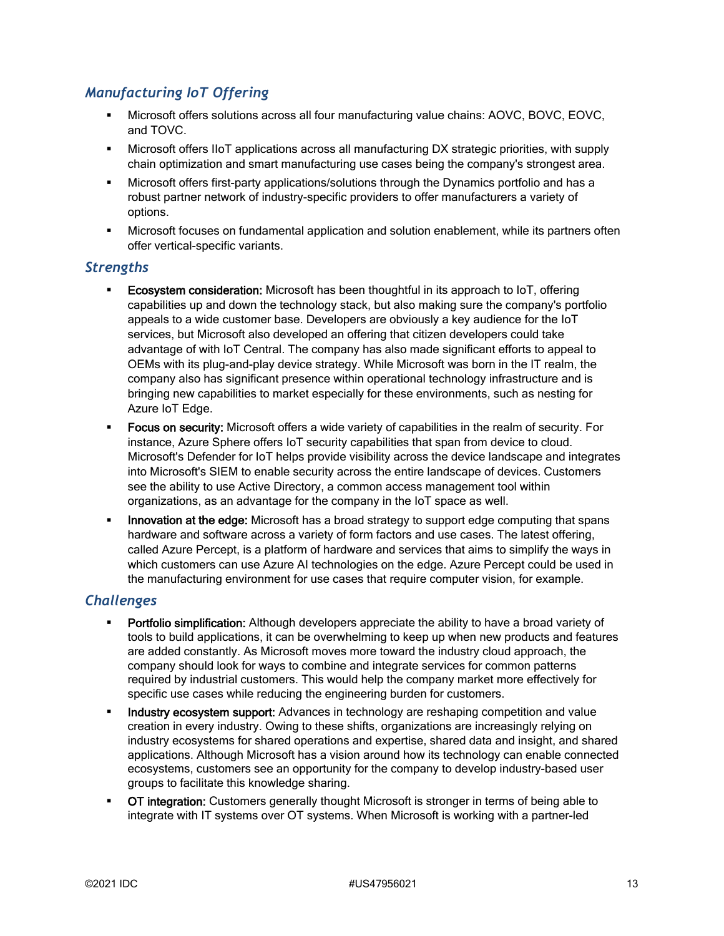## *Manufacturing IoT Offering*

- Microsoft offers solutions across all four manufacturing value chains: AOVC, BOVC, EOVC, and TOVC.
- Microsoft offers IIoT applications across all manufacturing DX strategic priorities, with supply chain optimization and smart manufacturing use cases being the company's strongest area.
- Microsoft offers first-party applications/solutions through the Dynamics portfolio and has a robust partner network of industry-specific providers to offer manufacturers a variety of options.
- Microsoft focuses on fundamental application and solution enablement, while its partners often offer vertical-specific variants.

#### *Strengths*

- Ecosystem consideration: Microsoft has been thoughtful in its approach to IoT, offering capabilities up and down the technology stack, but also making sure the company's portfolio appeals to a wide customer base. Developers are obviously a key audience for the IoT services, but Microsoft also developed an offering that citizen developers could take advantage of with IoT Central. The company has also made significant efforts to appeal to OEMs with its plug-and-play device strategy. While Microsoft was born in the IT realm, the company also has significant presence within operational technology infrastructure and is bringing new capabilities to market especially for these environments, such as nesting for Azure IoT Edge.
- Focus on security: Microsoft offers a wide variety of capabilities in the realm of security. For instance, Azure Sphere offers IoT security capabilities that span from device to cloud. Microsoft's Defender for IoT helps provide visibility across the device landscape and integrates into Microsoft's SIEM to enable security across the entire landscape of devices. Customers see the ability to use Active Directory, a common access management tool within organizations, as an advantage for the company in the IoT space as well.
- **Innovation at the edge:** Microsoft has a broad strategy to support edge computing that spans hardware and software across a variety of form factors and use cases. The latest offering, called Azure Percept, is a platform of hardware and services that aims to simplify the ways in which customers can use Azure AI technologies on the edge. Azure Percept could be used in the manufacturing environment for use cases that require computer vision, for example.

#### *Challenges*

- **Portfolio simplification:** Although developers appreciate the ability to have a broad variety of tools to build applications, it can be overwhelming to keep up when new products and features are added constantly. As Microsoft moves more toward the industry cloud approach, the company should look for ways to combine and integrate services for common patterns required by industrial customers. This would help the company market more effectively for specific use cases while reducing the engineering burden for customers.
- Industry ecosystem support: Advances in technology are reshaping competition and value creation in every industry. Owing to these shifts, organizations are increasingly relying on industry ecosystems for shared operations and expertise, shared data and insight, and shared applications. Although Microsoft has a vision around how its technology can enable connected ecosystems, customers see an opportunity for the company to develop industry-based user groups to facilitate this knowledge sharing.
- OT integration: Customers generally thought Microsoft is stronger in terms of being able to integrate with IT systems over OT systems. When Microsoft is working with a partner-led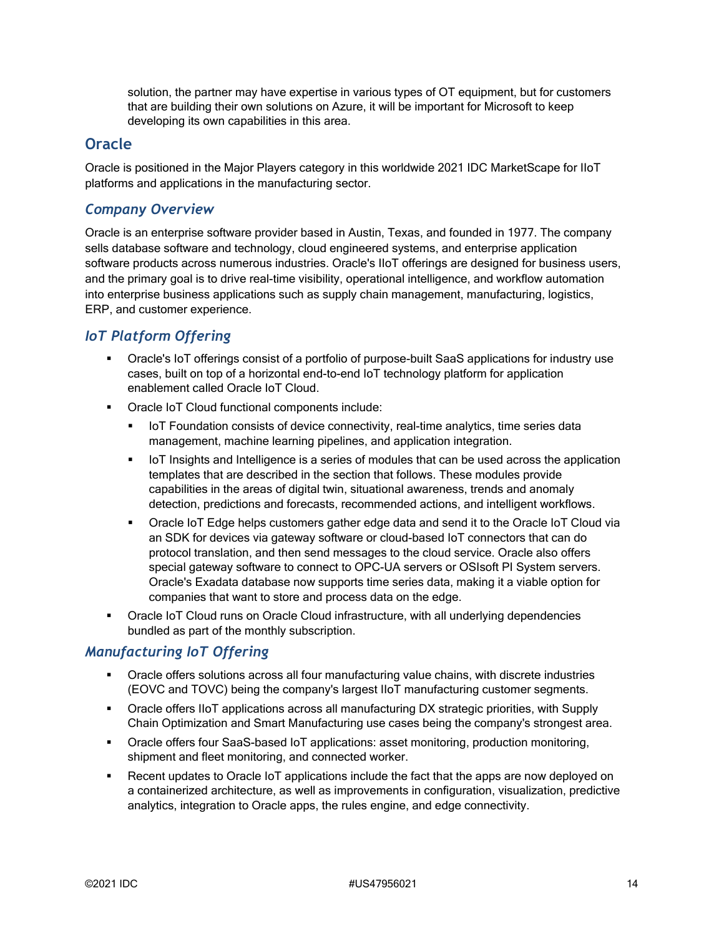solution, the partner may have expertise in various types of OT equipment, but for customers that are building their own solutions on Azure, it will be important for Microsoft to keep developing its own capabilities in this area.

#### **Oracle**

Oracle is positioned in the Major Players category in this worldwide 2021 IDC MarketScape for IIoT platforms and applications in the manufacturing sector.

#### *Company Overview*

Oracle is an enterprise software provider based in Austin, Texas, and founded in 1977. The company sells database software and technology, cloud engineered systems, and enterprise application software products across numerous industries. Oracle's IIoT offerings are designed for business users, and the primary goal is to drive real-time visibility, operational intelligence, and workflow automation into enterprise business applications such as supply chain management, manufacturing, logistics, ERP, and customer experience.

## *IoT Platform Offering*

- Oracle's IoT offerings consist of a portfolio of purpose-built SaaS applications for industry use cases, built on top of a horizontal end-to-end IoT technology platform for application enablement called Oracle IoT Cloud.
- Oracle IoT Cloud functional components include:
	- **IoT Foundation consists of device connectivity, real-time analytics, time series data** management, machine learning pipelines, and application integration.
	- **IoT Insights and Intelligence is a series of modules that can be used across the application** templates that are described in the section that follows. These modules provide capabilities in the areas of digital twin, situational awareness, trends and anomaly detection, predictions and forecasts, recommended actions, and intelligent workflows.
	- Oracle IoT Edge helps customers gather edge data and send it to the Oracle IoT Cloud via an SDK for devices via gateway software or cloud-based IoT connectors that can do protocol translation, and then send messages to the cloud service. Oracle also offers special gateway software to connect to OPC-UA servers or OSIsoft PI System servers. Oracle's Exadata database now supports time series data, making it a viable option for companies that want to store and process data on the edge.
- Oracle IoT Cloud runs on Oracle Cloud infrastructure, with all underlying dependencies bundled as part of the monthly subscription.

## *Manufacturing IoT Offering*

- Oracle offers solutions across all four manufacturing value chains, with discrete industries (EOVC and TOVC) being the company's largest IIoT manufacturing customer segments.
- Oracle offers IIoT applications across all manufacturing DX strategic priorities, with Supply Chain Optimization and Smart Manufacturing use cases being the company's strongest area.
- Oracle offers four SaaS-based IoT applications: asset monitoring, production monitoring, shipment and fleet monitoring, and connected worker.
- Recent updates to Oracle IoT applications include the fact that the apps are now deployed on a containerized architecture, as well as improvements in configuration, visualization, predictive analytics, integration to Oracle apps, the rules engine, and edge connectivity.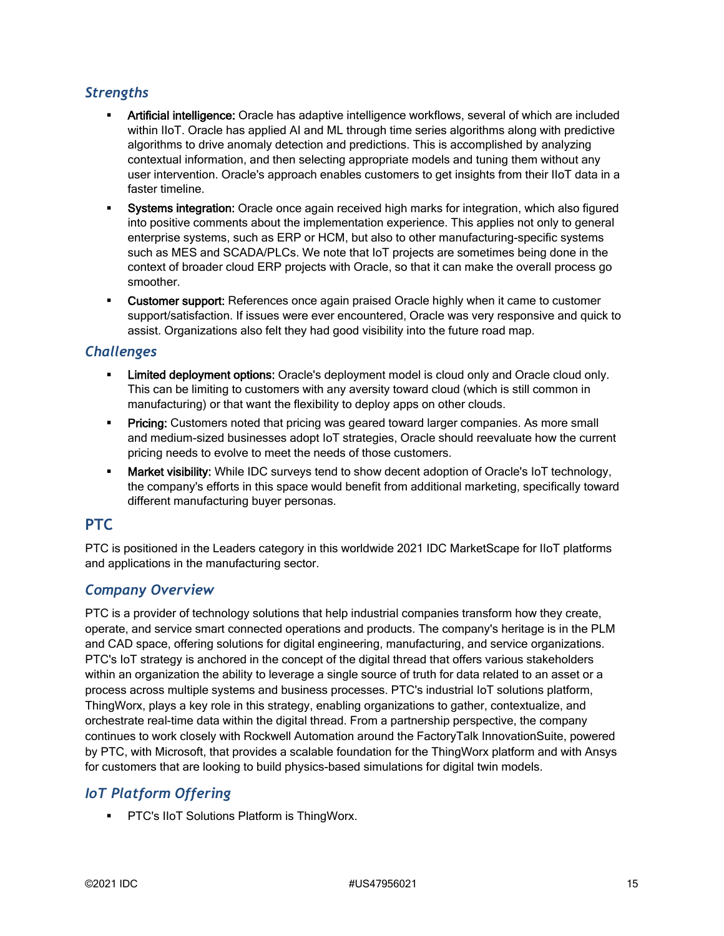## *Strengths*

- Artificial intelligence: Oracle has adaptive intelligence workflows, several of which are included within IIoT. Oracle has applied AI and ML through time series algorithms along with predictive algorithms to drive anomaly detection and predictions. This is accomplished by analyzing contextual information, and then selecting appropriate models and tuning them without any user intervention. Oracle's approach enables customers to get insights from their IIoT data in a faster timeline.
- **Systems integration:** Oracle once again received high marks for integration, which also figured into positive comments about the implementation experience. This applies not only to general enterprise systems, such as ERP or HCM, but also to other manufacturing-specific systems such as MES and SCADA/PLCs. We note that IoT projects are sometimes being done in the context of broader cloud ERP projects with Oracle, so that it can make the overall process go smoother.
- **Customer support:** References once again praised Oracle highly when it came to customer support/satisfaction. If issues were ever encountered, Oracle was very responsive and quick to assist. Organizations also felt they had good visibility into the future road map.

#### *Challenges*

- Limited deployment options: Oracle's deployment model is cloud only and Oracle cloud only. This can be limiting to customers with any aversity toward cloud (which is still common in manufacturing) or that want the flexibility to deploy apps on other clouds.
- **Pricing:** Customers noted that pricing was geared toward larger companies. As more small and medium-sized businesses adopt IoT strategies, Oracle should reevaluate how the current pricing needs to evolve to meet the needs of those customers.
- **Market visibility:** While IDC surveys tend to show decent adoption of Oracle's IoT technology, the company's efforts in this space would benefit from additional marketing, specifically toward different manufacturing buyer personas.

## **PTC**

PTC is positioned in the Leaders category in this worldwide 2021 IDC MarketScape for IIoT platforms and applications in the manufacturing sector.

#### *Company Overview*

PTC is a provider of technology solutions that help industrial companies transform how they create, operate, and service smart connected operations and products. The company's heritage is in the PLM and CAD space, offering solutions for digital engineering, manufacturing, and service organizations. PTC's IoT strategy is anchored in the concept of the digital thread that offers various stakeholders within an organization the ability to leverage a single source of truth for data related to an asset or a process across multiple systems and business processes. PTC's industrial IoT solutions platform, ThingWorx, plays a key role in this strategy, enabling organizations to gather, contextualize, and orchestrate real-time data within the digital thread. From a partnership perspective, the company continues to work closely with Rockwell Automation around the FactoryTalk InnovationSuite, powered by PTC, with Microsoft, that provides a scalable foundation for the ThingWorx platform and with Ansys for customers that are looking to build physics-based simulations for digital twin models.

## *IoT Platform Offering*

**PTC's IIoT Solutions Platform is ThingWorx.**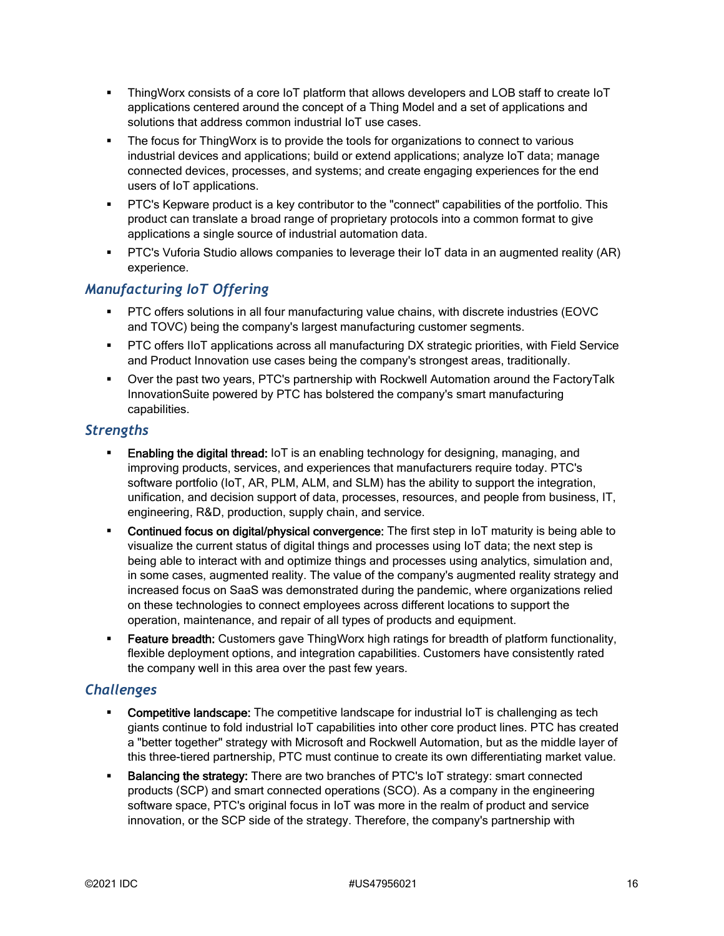- ThingWorx consists of a core IoT platform that allows developers and LOB staff to create IoT applications centered around the concept of a Thing Model and a set of applications and solutions that address common industrial IoT use cases.
- The focus for ThingWorx is to provide the tools for organizations to connect to various industrial devices and applications; build or extend applications; analyze IoT data; manage connected devices, processes, and systems; and create engaging experiences for the end users of IoT applications.
- PTC's Kepware product is a key contributor to the "connect" capabilities of the portfolio. This product can translate a broad range of proprietary protocols into a common format to give applications a single source of industrial automation data.
- PTC's Vuforia Studio allows companies to leverage their IoT data in an augmented reality (AR) experience.

#### *Manufacturing IoT Offering*

- PTC offers solutions in all four manufacturing value chains, with discrete industries (EOVC and TOVC) being the company's largest manufacturing customer segments.
- PTC offers IIoT applications across all manufacturing DX strategic priorities, with Field Service and Product Innovation use cases being the company's strongest areas, traditionally.
- Over the past two years, PTC's partnership with Rockwell Automation around the FactoryTalk InnovationSuite powered by PTC has bolstered the company's smart manufacturing capabilities.

#### *Strengths*

- Enabling the digital thread: IoT is an enabling technology for designing, managing, and improving products, services, and experiences that manufacturers require today. PTC's software portfolio (IoT, AR, PLM, ALM, and SLM) has the ability to support the integration, unification, and decision support of data, processes, resources, and people from business, IT, engineering, R&D, production, supply chain, and service.
- **Continued focus on digital/physical convergence:** The first step in IoT maturity is being able to visualize the current status of digital things and processes using IoT data; the next step is being able to interact with and optimize things and processes using analytics, simulation and, in some cases, augmented reality. The value of the company's augmented reality strategy and increased focus on SaaS was demonstrated during the pandemic, where organizations relied on these technologies to connect employees across different locations to support the operation, maintenance, and repair of all types of products and equipment.
- **Feature breadth:** Customers gave ThingWorx high ratings for breadth of platform functionality, flexible deployment options, and integration capabilities. Customers have consistently rated the company well in this area over the past few years.

#### *Challenges*

- Competitive landscape: The competitive landscape for industrial IoT is challenging as tech giants continue to fold industrial IoT capabilities into other core product lines. PTC has created a "better together" strategy with Microsoft and Rockwell Automation, but as the middle layer of this three-tiered partnership, PTC must continue to create its own differentiating market value.
- **Balancing the strategy:** There are two branches of PTC's IoT strategy: smart connected products (SCP) and smart connected operations (SCO). As a company in the engineering software space, PTC's original focus in IoT was more in the realm of product and service innovation, or the SCP side of the strategy. Therefore, the company's partnership with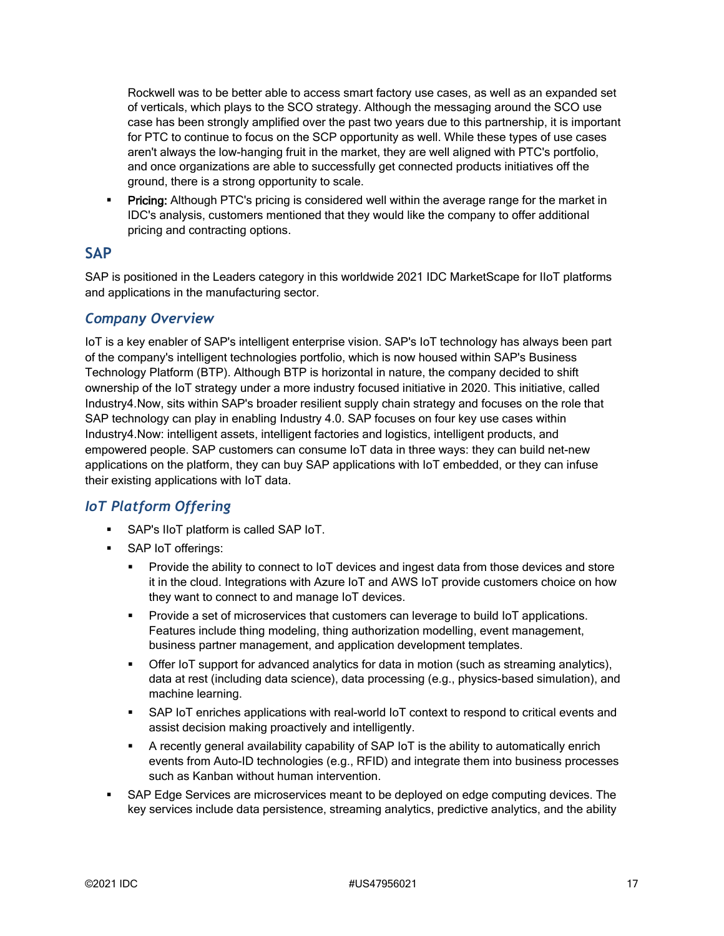Rockwell was to be better able to access smart factory use cases, as well as an expanded set of verticals, which plays to the SCO strategy. Although the messaging around the SCO use case has been strongly amplified over the past two years due to this partnership, it is important for PTC to continue to focus on the SCP opportunity as well. While these types of use cases aren't always the low-hanging fruit in the market, they are well aligned with PTC's portfolio, and once organizations are able to successfully get connected products initiatives off the ground, there is a strong opportunity to scale.

**Pricing:** Although PTC's pricing is considered well within the average range for the market in IDC's analysis, customers mentioned that they would like the company to offer additional pricing and contracting options.

#### **SAP**

SAP is positioned in the Leaders category in this worldwide 2021 IDC MarketScape for IIoT platforms and applications in the manufacturing sector.

#### *Company Overview*

IoT is a key enabler of SAP's intelligent enterprise vision. SAP's IoT technology has always been part of the company's intelligent technologies portfolio, which is now housed within SAP's Business Technology Platform (BTP). Although BTP is horizontal in nature, the company decided to shift ownership of the IoT strategy under a more industry focused initiative in 2020. This initiative, called Industry4.Now, sits within SAP's broader resilient supply chain strategy and focuses on the role that SAP technology can play in enabling Industry 4.0. SAP focuses on four key use cases within Industry4.Now: intelligent assets, intelligent factories and logistics, intelligent products, and empowered people. SAP customers can consume IoT data in three ways: they can build net-new applications on the platform, they can buy SAP applications with IoT embedded, or they can infuse their existing applications with IoT data.

## *IoT Platform Offering*

- SAP's IIoT platform is called SAP IoT.
- **SAP IoT offerings:** 
	- Provide the ability to connect to IoT devices and ingest data from those devices and store it in the cloud. Integrations with Azure IoT and AWS IoT provide customers choice on how they want to connect to and manage IoT devices.
	- **Provide a set of microservices that customers can leverage to build IoT applications.** Features include thing modeling, thing authorization modelling, event management, business partner management, and application development templates.
	- Offer IoT support for advanced analytics for data in motion (such as streaming analytics), data at rest (including data science), data processing (e.g., physics-based simulation), and machine learning.
	- SAP IoT enriches applications with real-world IoT context to respond to critical events and assist decision making proactively and intelligently.
	- A recently general availability capability of SAP IoT is the ability to automatically enrich events from Auto-ID technologies (e.g., RFID) and integrate them into business processes such as Kanban without human intervention.
- SAP Edge Services are microservices meant to be deployed on edge computing devices. The key services include data persistence, streaming analytics, predictive analytics, and the ability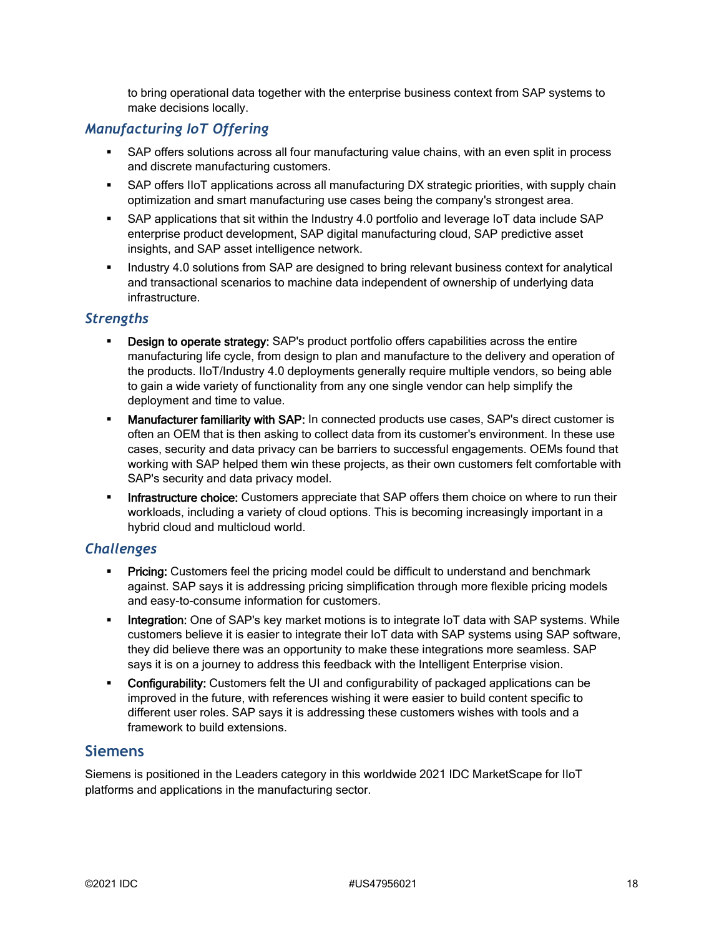to bring operational data together with the enterprise business context from SAP systems to make decisions locally.

## *Manufacturing IoT Offering*

- SAP offers solutions across all four manufacturing value chains, with an even split in process and discrete manufacturing customers.
- SAP offers IIoT applications across all manufacturing DX strategic priorities, with supply chain optimization and smart manufacturing use cases being the company's strongest area.
- SAP applications that sit within the Industry 4.0 portfolio and leverage IoT data include SAP enterprise product development, SAP digital manufacturing cloud, SAP predictive asset insights, and SAP asset intelligence network.
- Industry 4.0 solutions from SAP are designed to bring relevant business context for analytical and transactional scenarios to machine data independent of ownership of underlying data infrastructure.

#### *Strengths*

- Design to operate strategy: SAP's product portfolio offers capabilities across the entire manufacturing life cycle, from design to plan and manufacture to the delivery and operation of the products. IIoT/Industry 4.0 deployments generally require multiple vendors, so being able to gain a wide variety of functionality from any one single vendor can help simplify the deployment and time to value.
- **Manufacturer familiarity with SAP:** In connected products use cases, SAP's direct customer is often an OEM that is then asking to collect data from its customer's environment. In these use cases, security and data privacy can be barriers to successful engagements. OEMs found that working with SAP helped them win these projects, as their own customers felt comfortable with SAP's security and data privacy model.
- **Infrastructure choice:** Customers appreciate that SAP offers them choice on where to run their workloads, including a variety of cloud options. This is becoming increasingly important in a hybrid cloud and multicloud world.

#### *Challenges*

- **Pricing:** Customers feel the pricing model could be difficult to understand and benchmark against. SAP says it is addressing pricing simplification through more flexible pricing models and easy-to-consume information for customers.
- **Integration:** One of SAP's key market motions is to integrate IoT data with SAP systems. While customers believe it is easier to integrate their IoT data with SAP systems using SAP software, they did believe there was an opportunity to make these integrations more seamless. SAP says it is on a journey to address this feedback with the Intelligent Enterprise vision.
- **Configurability:** Customers felt the UI and configurability of packaged applications can be improved in the future, with references wishing it were easier to build content specific to different user roles. SAP says it is addressing these customers wishes with tools and a framework to build extensions.

#### **Siemens**

Siemens is positioned in the Leaders category in this worldwide 2021 IDC MarketScape for IIoT platforms and applications in the manufacturing sector.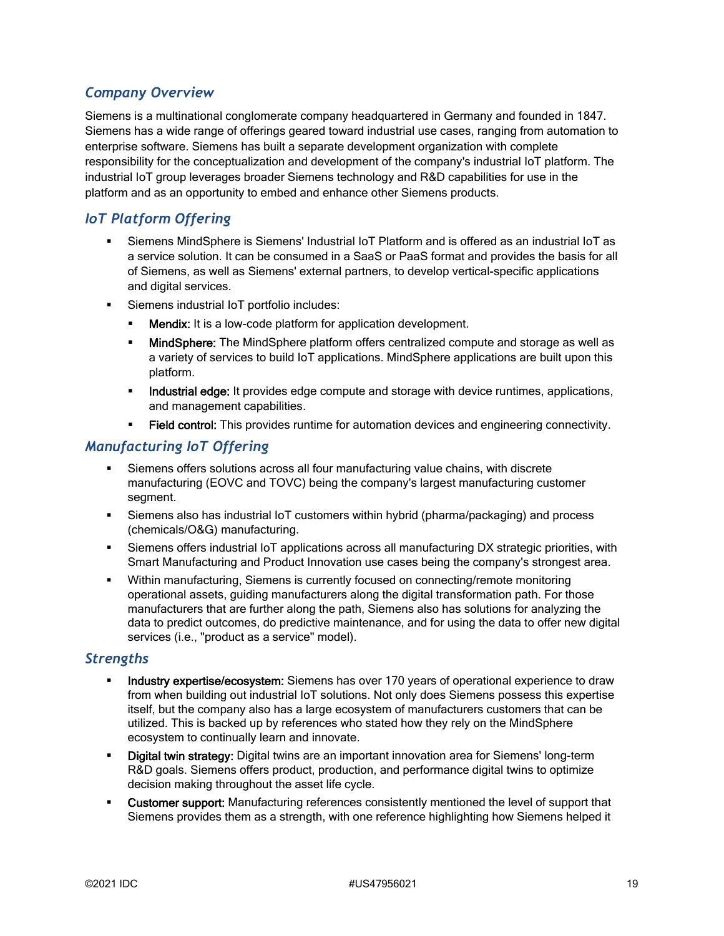## *Company Overview*

Siemens is a multinational conglomerate company headquartered in Germany and founded in 1847. Siemens has a wide range of offerings geared toward industrial use cases, ranging from automation to enterprise software. Siemens has built a separate development organization with complete responsibility for the conceptualization and development of the company's industrial IoT platform. The industrial IoT group leverages broader Siemens technology and R&D capabilities for use in the platform and as an opportunity to embed and enhance other Siemens products.

## *IoT Platform Offering*

- Siemens MindSphere is Siemens' Industrial IoT Platform and is offered as an industrial IoT as a service solution. It can be consumed in a SaaS or PaaS format and provides the basis for all of Siemens, as well as Siemens' external partners, to develop vertical-specific applications and digital services.
- Siemens industrial IoT portfolio includes:
	- **Mendix:** It is a low-code platform for application development.
	- **MindSphere:** The MindSphere platform offers centralized compute and storage as well as a variety of services to build IoT applications. MindSphere applications are built upon this platform.
	- **Industrial edge:** It provides edge compute and storage with device runtimes, applications, and management capabilities.
	- Field control: This provides runtime for automation devices and engineering connectivity.

#### *Manufacturing IoT Offering*

- Siemens offers solutions across all four manufacturing value chains, with discrete manufacturing (EOVC and TOVC) being the company's largest manufacturing customer segment.
- Siemens also has industrial IoT customers within hybrid (pharma/packaging) and process (chemicals/O&G) manufacturing.
- Siemens offers industrial IoT applications across all manufacturing DX strategic priorities, with Smart Manufacturing and Product Innovation use cases being the company's strongest area.
- Within manufacturing, Siemens is currently focused on connecting/remote monitoring operational assets, guiding manufacturers along the digital transformation path. For those manufacturers that are further along the path, Siemens also has solutions for analyzing the data to predict outcomes, do predictive maintenance, and for using the data to offer new digital services (i.e., "product as a service" model).

#### *Strengths*

- Industry expertise/ecosystem: Siemens has over 170 years of operational experience to draw from when building out industrial IoT solutions. Not only does Siemens possess this expertise itself, but the company also has a large ecosystem of manufacturers customers that can be utilized. This is backed up by references who stated how they rely on the MindSphere ecosystem to continually learn and innovate.
- Digital twin strategy: Digital twins are an important innovation area for Siemens' long-term R&D goals. Siemens offers product, production, and performance digital twins to optimize decision making throughout the asset life cycle.
- Customer support: Manufacturing references consistently mentioned the level of support that Siemens provides them as a strength, with one reference highlighting how Siemens helped it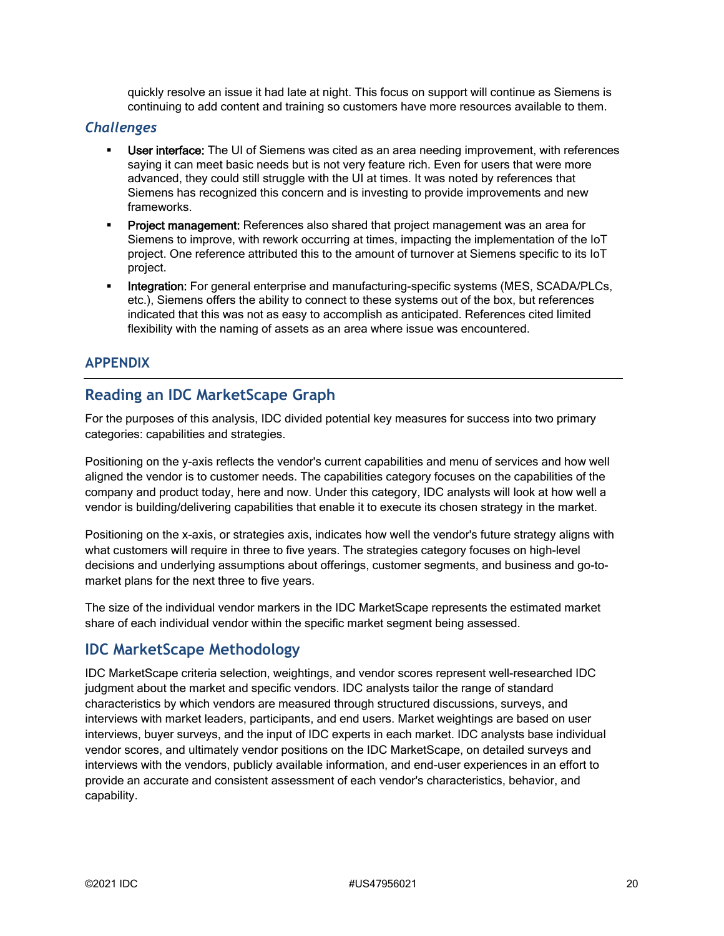quickly resolve an issue it had late at night. This focus on support will continue as Siemens is continuing to add content and training so customers have more resources available to them.

#### *Challenges*

- User interface: The UI of Siemens was cited as an area needing improvement, with references saying it can meet basic needs but is not very feature rich. Even for users that were more advanced, they could still struggle with the UI at times. It was noted by references that Siemens has recognized this concern and is investing to provide improvements and new frameworks.
- Project management: References also shared that project management was an area for Siemens to improve, with rework occurring at times, impacting the implementation of the IoT project. One reference attributed this to the amount of turnover at Siemens specific to its IoT project.
- Integration: For general enterprise and manufacturing-specific systems (MES, SCADA/PLCs, etc.), Siemens offers the ability to connect to these systems out of the box, but references indicated that this was not as easy to accomplish as anticipated. References cited limited flexibility with the naming of assets as an area where issue was encountered.

#### **APPENDIX**

## **Reading an IDC MarketScape Graph**

For the purposes of this analysis, IDC divided potential key measures for success into two primary categories: capabilities and strategies.

Positioning on the y-axis reflects the vendor's current capabilities and menu of services and how well aligned the vendor is to customer needs. The capabilities category focuses on the capabilities of the company and product today, here and now. Under this category, IDC analysts will look at how well a vendor is building/delivering capabilities that enable it to execute its chosen strategy in the market.

Positioning on the x-axis, or strategies axis, indicates how well the vendor's future strategy aligns with what customers will require in three to five years. The strategies category focuses on high-level decisions and underlying assumptions about offerings, customer segments, and business and go-tomarket plans for the next three to five years.

The size of the individual vendor markers in the IDC MarketScape represents the estimated market share of each individual vendor within the specific market segment being assessed.

#### **IDC MarketScape Methodology**

IDC MarketScape criteria selection, weightings, and vendor scores represent well-researched IDC judgment about the market and specific vendors. IDC analysts tailor the range of standard characteristics by which vendors are measured through structured discussions, surveys, and interviews with market leaders, participants, and end users. Market weightings are based on user interviews, buyer surveys, and the input of IDC experts in each market. IDC analysts base individual vendor scores, and ultimately vendor positions on the IDC MarketScape, on detailed surveys and interviews with the vendors, publicly available information, and end-user experiences in an effort to provide an accurate and consistent assessment of each vendor's characteristics, behavior, and capability.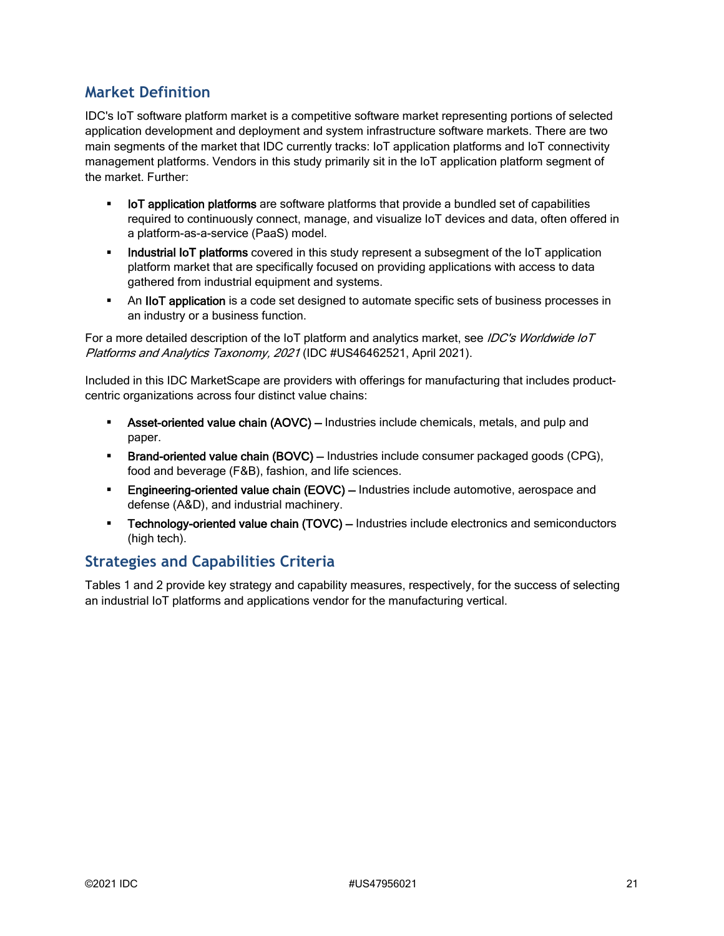## **Market Definition**

IDC's IoT software platform market is a competitive software market representing portions of selected application development and deployment and system infrastructure software markets. There are two main segments of the market that IDC currently tracks: IoT application platforms and IoT connectivity management platforms. Vendors in this study primarily sit in the IoT application platform segment of the market. Further:

- **IoT application platforms** are software platforms that provide a bundled set of capabilities required to continuously connect, manage, and visualize IoT devices and data, often offered in a platform-as-a-service (PaaS) model.
- **Industrial IoT platforms** covered in this study represent a subsegment of the IoT application platform market that are specifically focused on providing applications with access to data gathered from industrial equipment and systems.
- An IIoT application is a code set designed to automate specific sets of business processes in an industry or a business function.

For a more detailed description of the IoT platform and analytics market, see IDC's Worldwide IoT Platforms and Analytics Taxonomy, 2021 (IDC #US46462521, April 2021).

Included in this IDC MarketScape are providers with offerings for manufacturing that includes productcentric organizations across four distinct value chains:

- Asset-oriented value chain (AOVC) Industries include chemicals, metals, and pulp and paper.
- **Brand-oriented value chain (BOVC)** Industries include consumer packaged goods (CPG), food and beverage (F&B), fashion, and life sciences.
- Engineering-oriented value chain (EOVC) Industries include automotive, aerospace and defense (A&D), and industrial machinery.
- **Fechnology-oriented value chain (TOVC)** Industries include electronics and semiconductors (high tech).

## **Strategies and Capabilities Criteria**

Tables 1 and 2 provide key strategy and capability measures, respectively, for the success of selecting an industrial IoT platforms and applications vendor for the manufacturing vertical.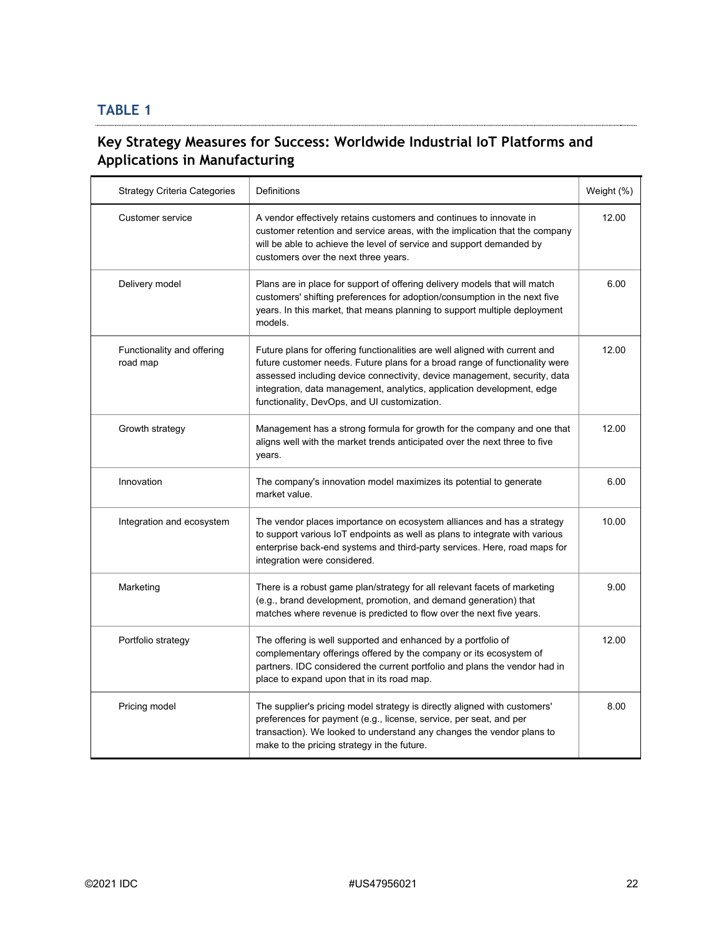# **TABLE 1**

## **Key Strategy Measures for Success: Worldwide Industrial IoT Platforms and Applications in Manufacturing**

| <b>Strategy Criteria Categories</b>    | Definitions                                                                                                                                                                                                                                                                                                                                                       | Weight (%) |
|----------------------------------------|-------------------------------------------------------------------------------------------------------------------------------------------------------------------------------------------------------------------------------------------------------------------------------------------------------------------------------------------------------------------|------------|
| Customer service                       | A vendor effectively retains customers and continues to innovate in<br>customer retention and service areas, with the implication that the company<br>will be able to achieve the level of service and support demanded by<br>customers over the next three years.                                                                                                | 12.00      |
| Delivery model                         | Plans are in place for support of offering delivery models that will match<br>customers' shifting preferences for adoption/consumption in the next five<br>years. In this market, that means planning to support multiple deployment<br>models.                                                                                                                   | 6.00       |
| Functionality and offering<br>road map | Future plans for offering functionalities are well aligned with current and<br>future customer needs. Future plans for a broad range of functionality were<br>assessed including device connectivity, device management, security, data<br>integration, data management, analytics, application development, edge<br>functionality, DevOps, and UI customization. | 12.00      |
| Growth strategy                        | Management has a strong formula for growth for the company and one that<br>aligns well with the market trends anticipated over the next three to five<br>years.                                                                                                                                                                                                   | 12.00      |
| Innovation                             | The company's innovation model maximizes its potential to generate<br>market value.                                                                                                                                                                                                                                                                               | 6.00       |
| Integration and ecosystem              | The vendor places importance on ecosystem alliances and has a strategy<br>to support various IoT endpoints as well as plans to integrate with various<br>enterprise back-end systems and third-party services. Here, road maps for<br>integration were considered.                                                                                                | 10.00      |
| Marketing                              | There is a robust game plan/strategy for all relevant facets of marketing<br>(e.g., brand development, promotion, and demand generation) that<br>matches where revenue is predicted to flow over the next five years.                                                                                                                                             | 9.00       |
| Portfolio strategy                     | The offering is well supported and enhanced by a portfolio of<br>complementary offerings offered by the company or its ecosystem of<br>partners. IDC considered the current portfolio and plans the vendor had in<br>place to expand upon that in its road map.                                                                                                   | 12.00      |
| Pricing model                          | The supplier's pricing model strategy is directly aligned with customers'<br>preferences for payment (e.g., license, service, per seat, and per<br>transaction). We looked to understand any changes the vendor plans to<br>make to the pricing strategy in the future.                                                                                           | 8.00       |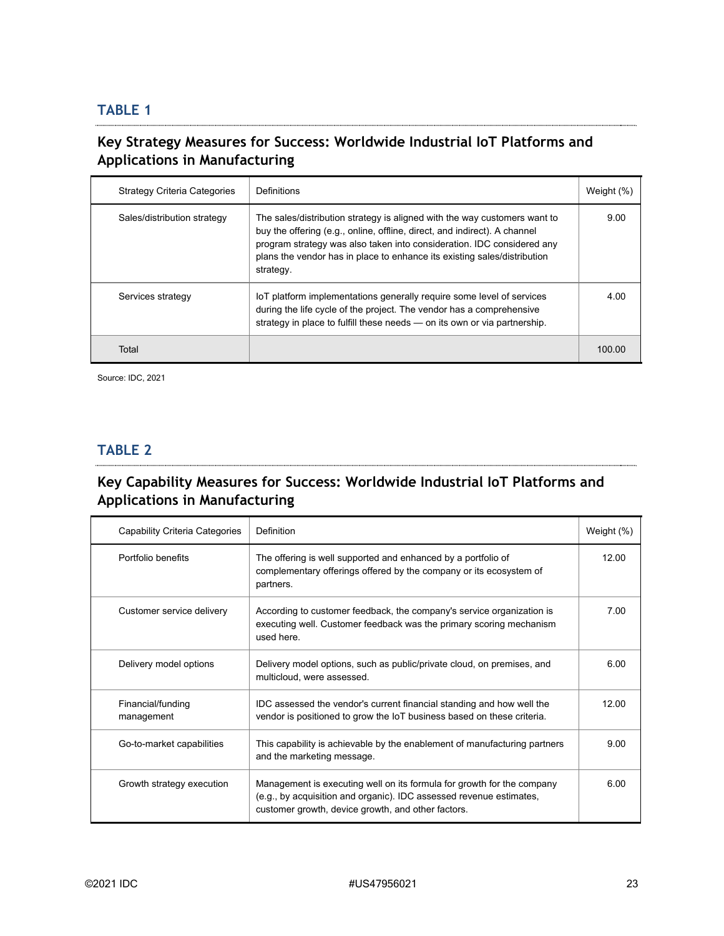## **TABLE 1**

## **Key Strategy Measures for Success: Worldwide Industrial IoT Platforms and Applications in Manufacturing**

| <b>Strategy Criteria Categories</b> | Definitions                                                                                                                                                                                                                                                                                                               | Weight (%) |
|-------------------------------------|---------------------------------------------------------------------------------------------------------------------------------------------------------------------------------------------------------------------------------------------------------------------------------------------------------------------------|------------|
| Sales/distribution strategy         | The sales/distribution strategy is aligned with the way customers want to<br>buy the offering (e.g., online, offline, direct, and indirect). A channel<br>program strategy was also taken into consideration. IDC considered any<br>plans the vendor has in place to enhance its existing sales/distribution<br>strategy. | 9.00       |
| Services strategy                   | loT platform implementations generally require some level of services<br>during the life cycle of the project. The vendor has a comprehensive<br>strategy in place to fulfill these needs - on its own or via partnership.                                                                                                | 4.00       |
| Total                               |                                                                                                                                                                                                                                                                                                                           | 100.00     |

Source: IDC, 2021

## **TABLE 2**

## **Key Capability Measures for Success: Worldwide Industrial IoT Platforms and Applications in Manufacturing**

| Capability Criteria Categories  | Definition                                                                                                                                                                                          | Weight $(\%)$ |
|---------------------------------|-----------------------------------------------------------------------------------------------------------------------------------------------------------------------------------------------------|---------------|
| Portfolio benefits              | The offering is well supported and enhanced by a portfolio of<br>complementary offerings offered by the company or its ecosystem of<br>partners.                                                    | 12.00         |
| Customer service delivery       | According to customer feedback, the company's service organization is<br>executing well. Customer feedback was the primary scoring mechanism<br>used here.                                          | 7.00          |
| Delivery model options          | Delivery model options, such as public/private cloud, on premises, and<br>multicloud, were assessed.                                                                                                | 6.00          |
| Financial/funding<br>management | IDC assessed the vendor's current financial standing and how well the<br>vendor is positioned to grow the IoT business based on these criteria.                                                     | 12.00         |
| Go-to-market capabilities       | This capability is achievable by the enablement of manufacturing partners<br>and the marketing message.                                                                                             | 9.00          |
| Growth strategy execution       | Management is executing well on its formula for growth for the company<br>(e.g., by acquisition and organic). IDC assessed revenue estimates,<br>customer growth, device growth, and other factors. | 6.00          |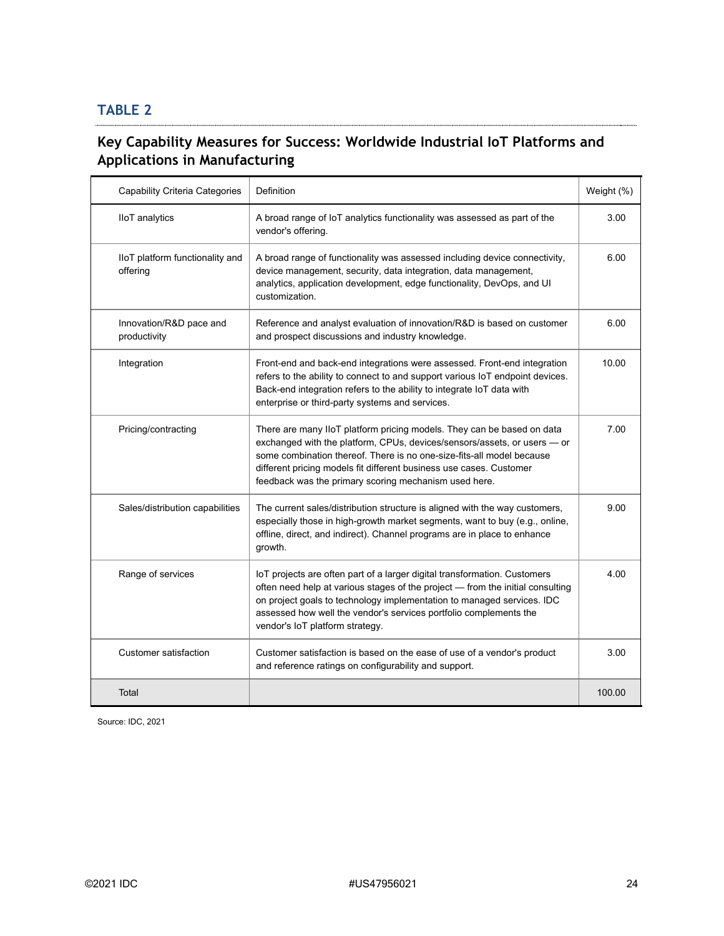#### **TABLE 2**

## **Key Capability Measures for Success: Worldwide Industrial IoT Platforms and Applications in Manufacturing**

| <b>Capability Criteria Categories</b>       | Definition                                                                                                                                                                                                                                                                                                                                                  | Weight (%) |
|---------------------------------------------|-------------------------------------------------------------------------------------------------------------------------------------------------------------------------------------------------------------------------------------------------------------------------------------------------------------------------------------------------------------|------------|
| <b>IIoT</b> analytics                       | A broad range of IoT analytics functionality was assessed as part of the<br>vendor's offering.                                                                                                                                                                                                                                                              | 3.00       |
| IIoT platform functionality and<br>offering | A broad range of functionality was assessed including device connectivity,<br>device management, security, data integration, data management,<br>analytics, application development, edge functionality, DevOps, and UI<br>customization.                                                                                                                   | 6.00       |
| Innovation/R&D pace and<br>productivity     | Reference and analyst evaluation of innovation/R&D is based on customer<br>and prospect discussions and industry knowledge.                                                                                                                                                                                                                                 | 6.00       |
| Integration                                 | Front-end and back-end integrations were assessed. Front-end integration<br>refers to the ability to connect to and support various IoT endpoint devices.<br>Back-end integration refers to the ability to integrate IoT data with<br>enterprise or third-party systems and services.                                                                       | 10.00      |
| Pricing/contracting                         | There are many IIoT platform pricing models. They can be based on data<br>exchanged with the platform, CPUs, devices/sensors/assets, or users - or<br>some combination thereof. There is no one-size-fits-all model because<br>different pricing models fit different business use cases. Customer<br>feedback was the primary scoring mechanism used here. | 7.00       |
| Sales/distribution capabilities             | The current sales/distribution structure is aligned with the way customers,<br>especially those in high-growth market segments, want to buy (e.g., online,<br>offline, direct, and indirect). Channel programs are in place to enhance<br>growth.                                                                                                           | 9.00       |
| Range of services                           | IoT projects are often part of a larger digital transformation. Customers<br>often need help at various stages of the project - from the initial consulting<br>on project goals to technology implementation to managed services. IDC<br>assessed how well the vendor's services portfolio complements the<br>vendor's IoT platform strategy.               | 4.00       |
| Customer satisfaction                       | Customer satisfaction is based on the ease of use of a vendor's product<br>and reference ratings on configurability and support.                                                                                                                                                                                                                            | 3.00       |
| Total                                       |                                                                                                                                                                                                                                                                                                                                                             | 100.00     |

Source: IDC, 2021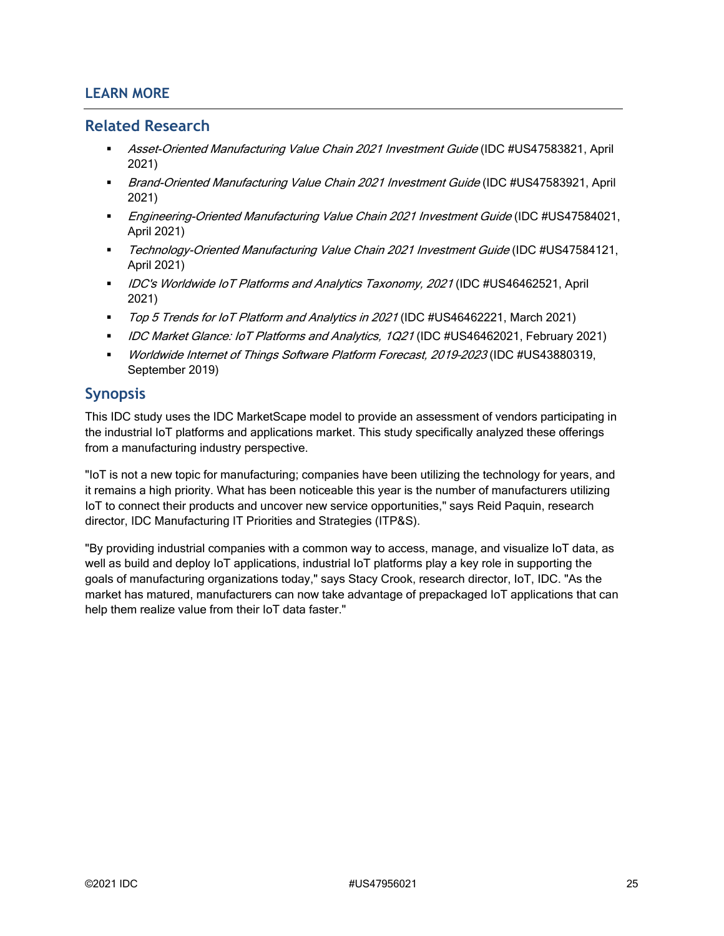#### **LEARN MORE**

#### **Related Research**

- Asset-Oriented Manufacturing Value Chain 2021 Investment Guide (IDC #US47583821, April 2021)
- **Brand-Oriented Manufacturing Value Chain 2021 Investment Guide (IDC #US47583921, April)** 2021)
- **Engineering-Oriented Manufacturing Value Chain 2021 Investment Guide (IDC #US47584021,** April 2021)
- **Technology-Oriented Manufacturing Value Chain 2021 Investment Guide (IDC #US47584121,** April 2021)
- **IDC's Worldwide IoT Platforms and Analytics Taxonomy, 2021 (IDC #US46462521, April** 2021)
- Top 5 Trends for IoT Platform and Analytics in 2021 (IDC #US46462221, March 2021)
- DC Market Glance: IoT Platforms and Analytics, 1Q21 (IDC #US46462021, February 2021)
- **Worldwide Internet of Things Software Platform Forecast, 2019-2023 (IDC #US43880319,** September 2019)

#### **Synopsis**

This IDC study uses the IDC MarketScape model to provide an assessment of vendors participating in the industrial IoT platforms and applications market. This study specifically analyzed these offerings from a manufacturing industry perspective.

"IoT is not a new topic for manufacturing; companies have been utilizing the technology for years, and it remains a high priority. What has been noticeable this year is the number of manufacturers utilizing IoT to connect their products and uncover new service opportunities," says Reid Paquin, research director, IDC Manufacturing IT Priorities and Strategies (ITP&S).

"By providing industrial companies with a common way to access, manage, and visualize IoT data, as well as build and deploy IoT applications, industrial IoT platforms play a key role in supporting the goals of manufacturing organizations today," says Stacy Crook, research director, IoT, IDC. "As the market has matured, manufacturers can now take advantage of prepackaged IoT applications that can help them realize value from their IoT data faster."